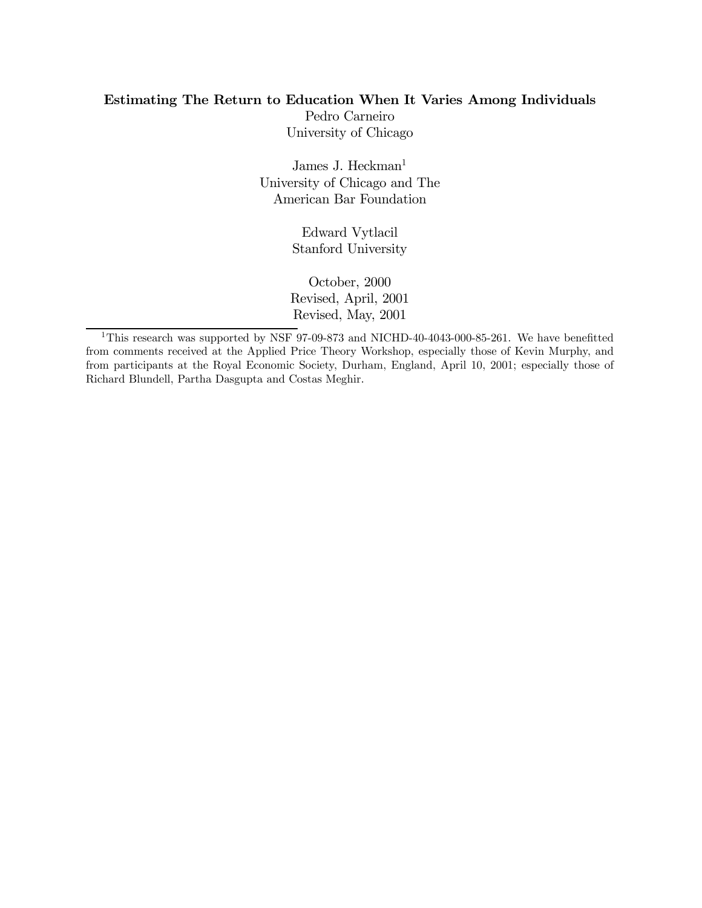#### Estimating The Return to Education When It Varies Among Individuals

Pedro Carneiro University of Chicago

James J. Heckman<sup>1</sup> University of Chicago and The American Bar Foundation

> Edward Vytlacil Stanford University

October, 2000 Revised, April, 2001 Revised, May, 2001

<sup>&</sup>lt;sup>1</sup>This research was supported by NSF 97-09-873 and NICHD-40-4043-000-85-261. We have benefitted from comments received at the Applied Price Theory Workshop, especially those of Kevin Murphy, and from participants at the Royal Economic Society, Durham, England, April 10, 2001; especially those of Richard Blundell, Partha Dasgupta and Costas Meghir.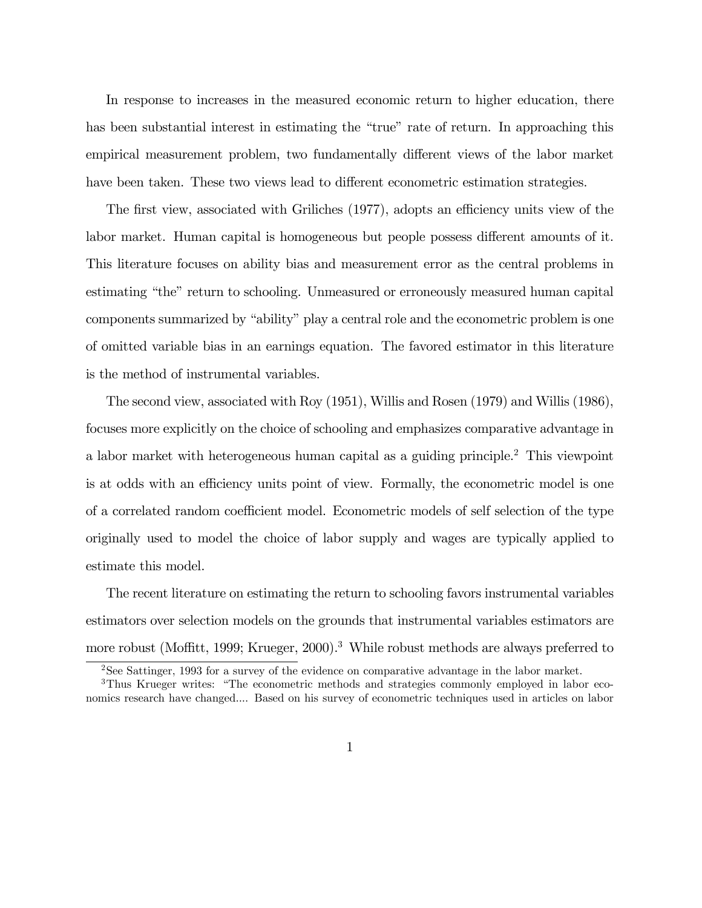In response to increases in the measured economic return to higher education, there has been substantial interest in estimating the "true" rate of return. In approaching this empirical measurement problem, two fundamentally different views of the labor market have been taken. These two views lead to different econometric estimation strategies.

The first view, associated with Griliches (1977), adopts an efficiency units view of the labor market. Human capital is homogeneous but people possess different amounts of it. This literature focuses on ability bias and measurement error as the central problems in estimating "the" return to schooling. Unmeasured or erroneously measured human capital components summarized by "ability" play a central role and the econometric problem is one of omitted variable bias in an earnings equation. The favored estimator in this literature is the method of instrumental variables.

The second view, associated with Roy (1951), Willis and Rosen (1979) and Willis (1986), focuses more explicitly on the choice of schooling and emphasizes comparative advantage in a labor market with heterogeneous human capital as a guiding principle.2 This viewpoint is at odds with an efficiency units point of view. Formally, the econometric model is one of a correlated random coefficient model. Econometric models of self selection of the type originally used to model the choice of labor supply and wages are typically applied to estimate this model.

The recent literature on estimating the return to schooling favors instrumental variables estimators over selection models on the grounds that instrumental variables estimators are more robust (Moffitt, 1999; Krueger, 2000).<sup>3</sup> While robust methods are always preferred to

<sup>2</sup>See Sattinger, 1993 for a survey of the evidence on comparative advantage in the labor market.

<sup>&</sup>lt;sup>3</sup>Thus Krueger writes: "The econometric methods and strategies commonly employed in labor economics research have changed.... Based on his survey of econometric techniques used in articles on labor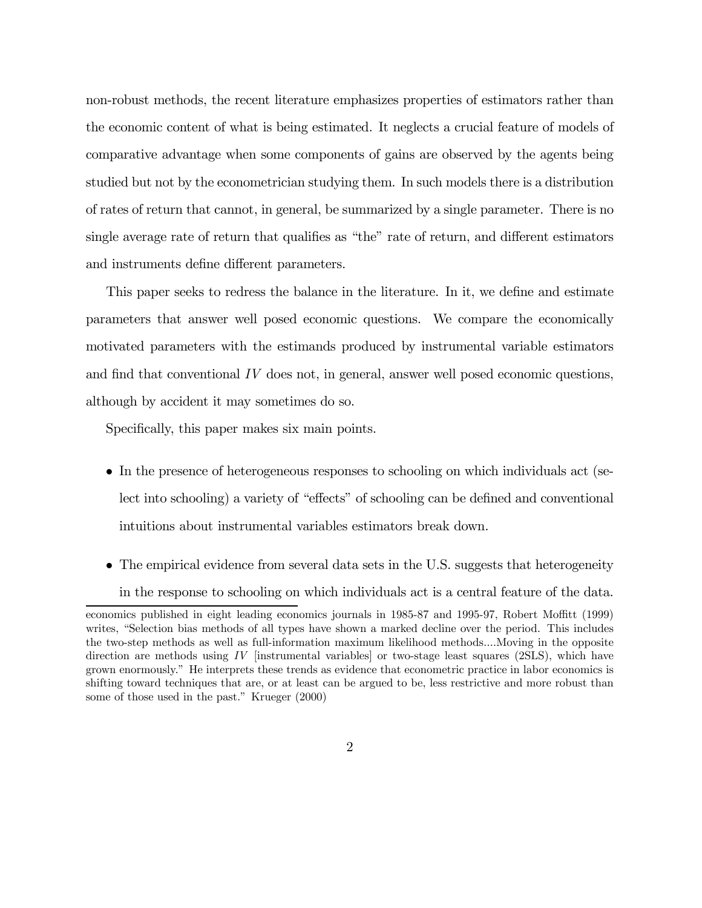non-robust methods, the recent literature emphasizes properties of estimators rather than the economic content of what is being estimated. It neglects a crucial feature of models of comparative advantage when some components of gains are observed by the agents being studied but not by the econometrician studying them. In such models there is a distribution of rates of return that cannot, in general, be summarized by a single parameter. There is no single average rate of return that qualifies as "the" rate of return, and different estimators and instruments define different parameters.

This paper seeks to redress the balance in the literature. In it, we define and estimate parameters that answer well posed economic questions. We compare the economically motivated parameters with the estimands produced by instrumental variable estimators and find that conventional IV does not, in general, answer well posed economic questions, although by accident it may sometimes do so.

Specifically, this paper makes six main points.

- In the presence of heterogeneous responses to schooling on which individuals act (select into schooling) a variety of "effects" of schooling can be defined and conventional intuitions about instrumental variables estimators break down.
- The empirical evidence from several data sets in the U.S. suggests that heterogeneity

in the response to schooling on which individuals act is a central feature of the data.

economics published in eight leading economics journals in 1985-87 and 1995-97, Robert Moffitt (1999) writes, "Selection bias methods of all types have shown a marked decline over the period. This includes the two-step methods as well as full-information maximum likelihood methods....Moving in the opposite direction are methods using IV [instrumental variables] or two-stage least squares (2SLS), which have grown enormously." He interprets these trends as evidence that econometric practice in labor economics is shifting toward techniques that are, or at least can be argued to be, less restrictive and more robust than some of those used in the past." Krueger (2000)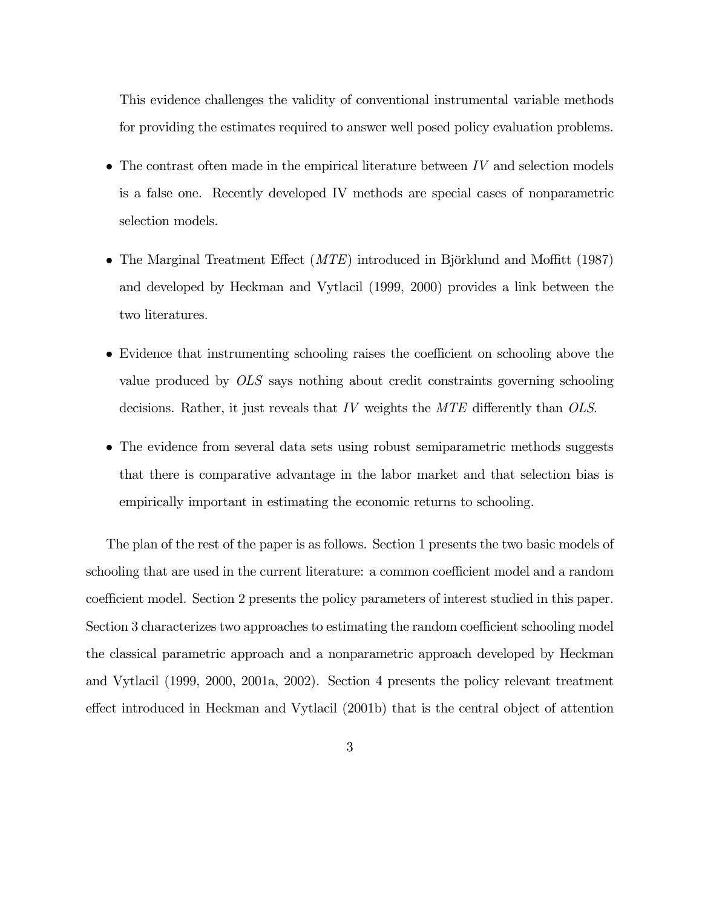This evidence challenges the validity of conventional instrumental variable methods for providing the estimates required to answer well posed policy evaluation problems.

- The contrast often made in the empirical literature between  $IV$  and selection models is a false one. Recently developed IV methods are special cases of nonparametric selection models.
- The Marginal Treatment Effect (*MTE*) introduced in Björklund and Moffitt (1987) and developed by Heckman and Vytlacil (1999, 2000) provides a link between the two literatures.
- Evidence that instrumenting schooling raises the coefficient on schooling above the value produced by OLS says nothing about credit constraints governing schooling decisions. Rather, it just reveals that IV weights the MTE differently than OLS.
- The evidence from several data sets using robust semiparametric methods suggests that there is comparative advantage in the labor market and that selection bias is empirically important in estimating the economic returns to schooling.

The plan of the rest of the paper is as follows. Section 1 presents the two basic models of schooling that are used in the current literature: a common coefficient model and a random coefficient model. Section 2 presents the policy parameters of interest studied in this paper. Section 3 characterizes two approaches to estimating the random coefficient schooling model the classical parametric approach and a nonparametric approach developed by Heckman and Vytlacil (1999, 2000, 2001a, 2002). Section 4 presents the policy relevant treatment effect introduced in Heckman and Vytlacil (2001b) that is the central object of attention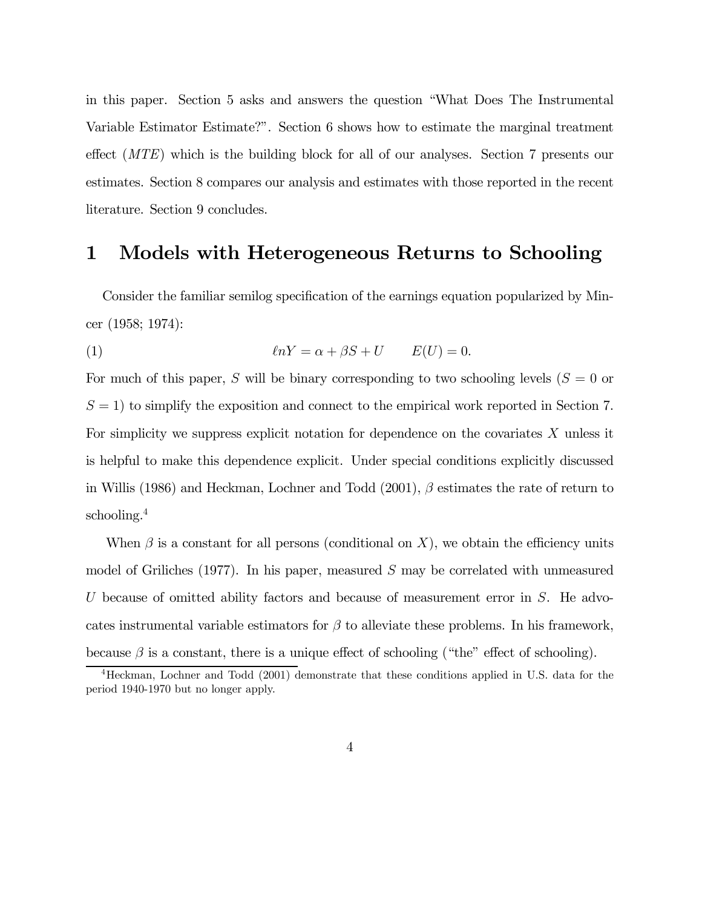in this paper. Section 5 asks and answers the question "What Does The Instrumental Variable Estimator Estimate?". Section 6 shows how to estimate the marginal treatment effect (MTE) which is the building block for all of our analyses. Section 7 presents our estimates. Section 8 compares our analysis and estimates with those reported in the recent literature. Section 9 concludes.

### 1 Models with Heterogeneous Returns to Schooling

Consider the familiar semilog specification of the earnings equation popularized by Mincer (1958; 1974):

(1) 
$$
\ell n Y = \alpha + \beta S + U \qquad E(U) = 0.
$$

For much of this paper, S will be binary corresponding to two schooling levels  $(S = 0$  or  $S = 1$ ) to simplify the exposition and connect to the empirical work reported in Section 7. For simplicity we suppress explicit notation for dependence on the covariates X unless it is helpful to make this dependence explicit. Under special conditions explicitly discussed in Willis (1986) and Heckman, Lochner and Todd  $(2001)$ ,  $\beta$  estimates the rate of return to schooling.4

When  $\beta$  is a constant for all persons (conditional on X), we obtain the efficiency units model of Griliches  $(1977)$ . In his paper, measured S may be correlated with unmeasured U because of omitted ability factors and because of measurement error in S. He advocates instrumental variable estimators for  $\beta$  to alleviate these problems. In his framework, because  $\beta$  is a constant, there is a unique effect of schooling ("the" effect of schooling).

<sup>4</sup>Heckman, Lochner and Todd (2001) demonstrate that these conditions applied in U.S. data for the period 1940-1970 but no longer apply.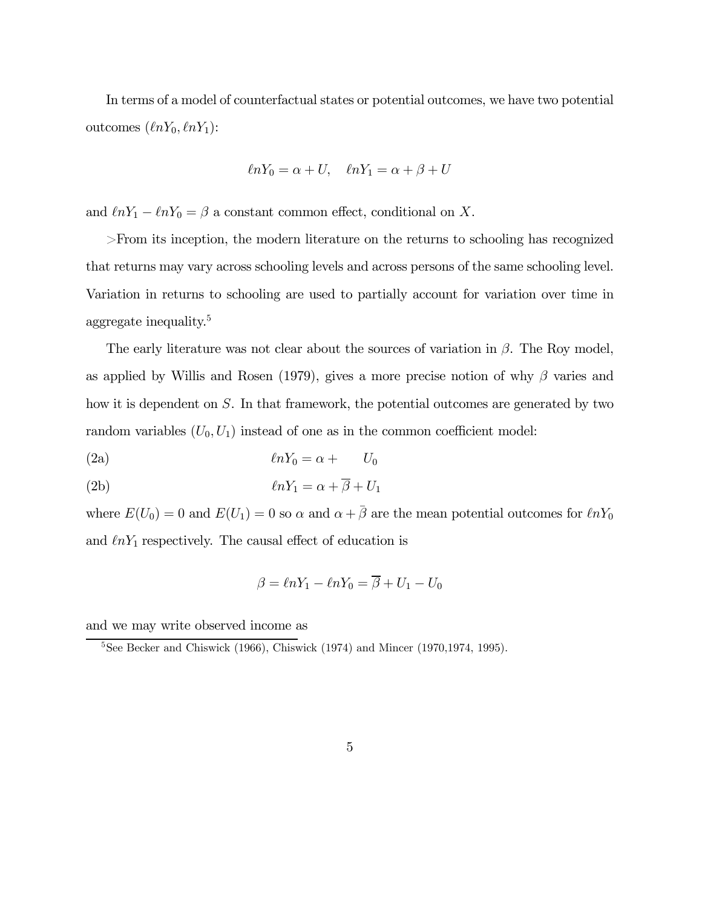In terms of a model of counterfactual states or potential outcomes, we have two potential outcomes  $(\ell nY_0, \ell nY_1)$ :

$$
\ell n Y_0 = \alpha + U, \quad \ell n Y_1 = \alpha + \beta + U
$$

and  $lnY_1 - lnY_0 = \beta$  a constant common effect, conditional on X.

>From its inception, the modern literature on the returns to schooling has recognized that returns may vary across schooling levels and across persons of the same schooling level. Variation in returns to schooling are used to partially account for variation over time in aggregate inequality.<sup>5</sup>

The early literature was not clear about the sources of variation in  $\beta$ . The Roy model, as applied by Willis and Rosen (1979), gives a more precise notion of why  $\beta$  varies and how it is dependent on S. In that framework, the potential outcomes are generated by two random variables  $(U_0, U_1)$  instead of one as in the common coefficient model:

$$
ln Y_0 = \alpha + U_0
$$

(2b) 
$$
\ln Y_1 = \alpha + \overline{\beta} + U_1
$$

where  $E(U_0)=0$  and  $E(U_1)=0$  so  $\alpha$  and  $\alpha + \bar{\beta}$  are the mean potential outcomes for  $\ell nY_0$ and  $lnY_1$  respectively. The causal effect of education is

$$
\beta = \ell n Y_1 - \ell n Y_0 = \overline{\beta} + U_1 - U_0
$$

and we may write observed income as

 $5$ See Becker and Chiswick (1966), Chiswick (1974) and Mincer (1970, 1974, 1995).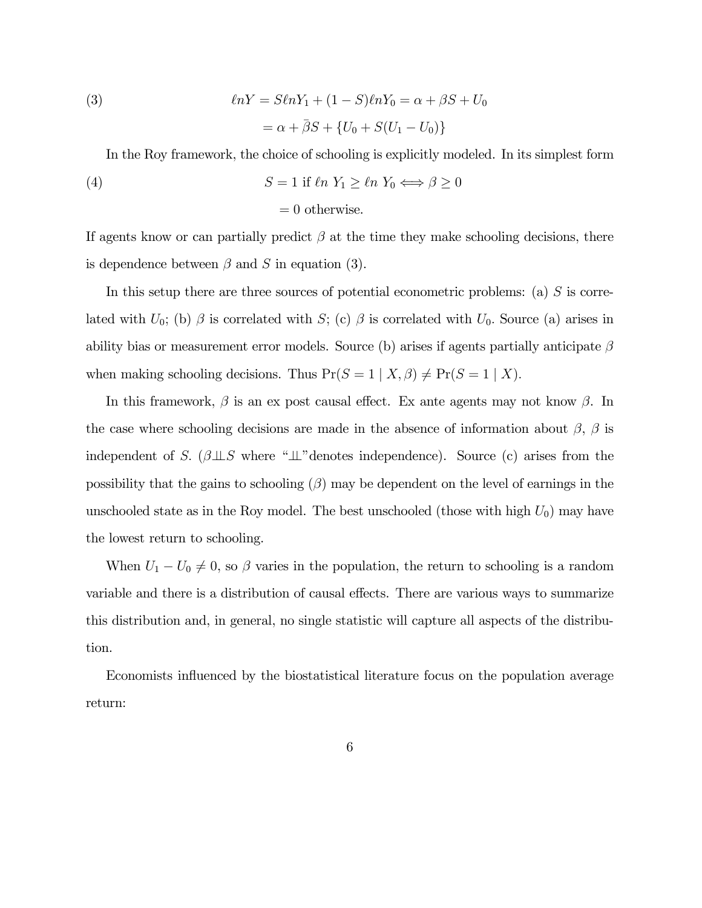(3) 
$$
\ell nY = S\ell nY_1 + (1 - S)\ell nY_0 = \alpha + \beta S + U_0
$$

$$
= \alpha + \bar{\beta}S + \{U_0 + S(U_1 - U_0)\}
$$

In the Roy framework, the choice of schooling is explicitly modeled. In its simplest form (4)  $S = 1$  if  $\ln Y_1 \geq \ln Y_0 \Longleftrightarrow \beta \geq 0$ 

 $= 0$  otherwise.

If agents know or can partially predict  $\beta$  at the time they make schooling decisions, there is dependence between  $\beta$  and S in equation (3).

In this setup there are three sources of potential econometric problems: (a)  $S$  is correlated with  $U_0$ ; (b)  $\beta$  is correlated with  $S$ ; (c)  $\beta$  is correlated with  $U_0$ . Source (a) arises in ability bias or measurement error models. Source (b) arises if agents partially anticipate  $\beta$ when making schooling decisions. Thus  $Pr(S = 1 | X, \beta) \neq Pr(S = 1 | X)$ .

In this framework,  $\beta$  is an ex post causal effect. Ex ante agents may not know  $\beta$ . In the case where schooling decisions are made in the absence of information about  $\beta$ ,  $\beta$  is independent of S. ( $\beta \perp S$  where " $\perp$ " denotes independence). Source (c) arises from the possibility that the gains to schooling  $(\beta)$  may be dependent on the level of earnings in the unschooled state as in the Roy model. The best unschooled (those with high  $U_0$ ) may have the lowest return to schooling.

When  $U_1 - U_0 \neq 0$ , so  $\beta$  varies in the population, the return to schooling is a random variable and there is a distribution of causal effects. There are various ways to summarize this distribution and, in general, no single statistic will capture all aspects of the distribution.

Economists influenced by the biostatistical literature focus on the population average return: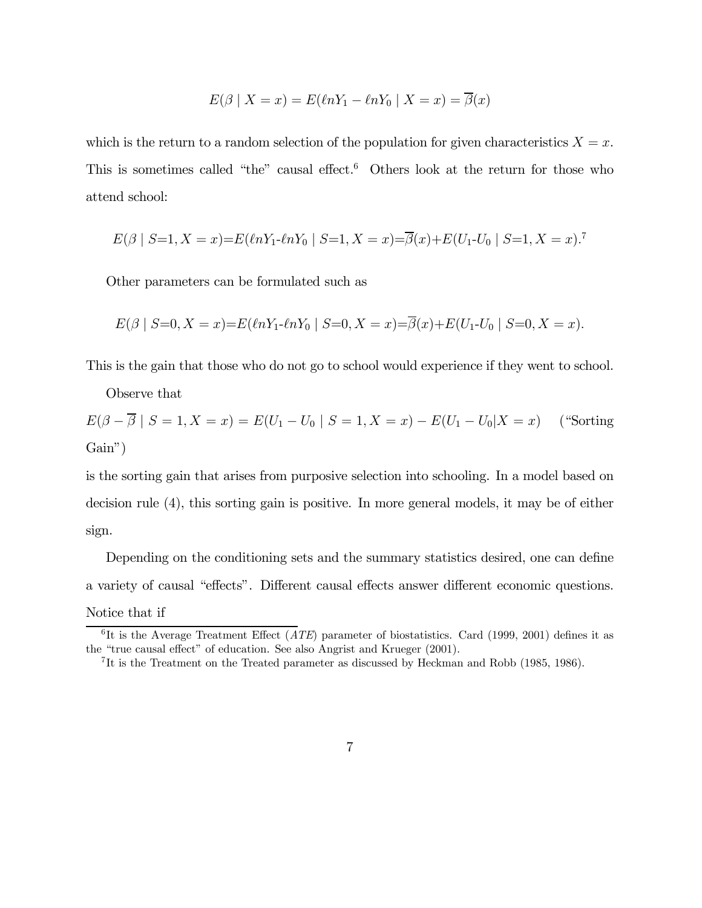$$
E(\beta \mid X = x) = E(\ln Y_1 - \ln Y_0 \mid X = x) = \overline{\beta}(x)
$$

which is the return to a random selection of the population for given characteristics  $X = x$ . This is sometimes called "the" causal effect.<sup>6</sup> Others look at the return for those who attend school:

$$
E(\beta \mid S=1, X=x) = E(\ln Y_1 - \ln Y_0 \mid S=1, X=x) = \overline{\beta}(x) + E(U_1 - U_0 \mid S=1, X=x).^\mathsf{T}
$$

Other parameters can be formulated such as

$$
E(\beta \mid S=0, X=x) = E(\ln Y_1 - \ln Y_0 \mid S=0, X=x) = \overline{\beta}(x) + E(U_1 - U_0 \mid S=0, X=x).
$$

This is the gain that those who do not go to school would experience if they went to school.

Observe that

$$
E(\beta - \overline{\beta} \mid S = 1, X = x) = E(U_1 - U_0 \mid S = 1, X = x) - E(U_1 - U_0 \mid X = x)
$$
 ("Sorting  
Gain")

is the sorting gain that arises from purposive selection into schooling. In a model based on decision rule (4), this sorting gain is positive. In more general models, it may be of either sign.

Depending on the conditioning sets and the summary statistics desired, one can define a variety of causal "effects". Different causal effects answer different economic questions. Notice that if

 ${}^{6}$ It is the Average Treatment Effect (*ATE*) parameter of biostatistics. Card (1999, 2001) defines it as the "true causal effect" of education. See also Angrist and Krueger (2001).

<sup>&</sup>lt;sup>7</sup>It is the Treatment on the Treated parameter as discussed by Heckman and Robb (1985, 1986).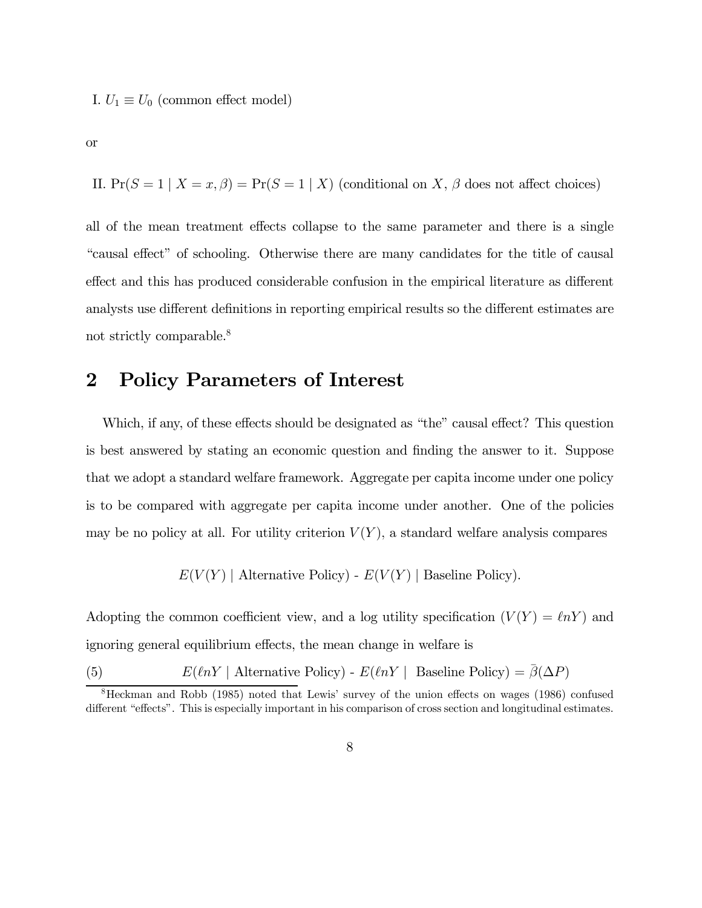I.  $U_1 \equiv U_0$  (common effect model)

or

II.  $Pr(S = 1 | X = x, \beta) = Pr(S = 1 | X)$  (conditional on X,  $\beta$  does not affect choices)

all of the mean treatment effects collapse to the same parameter and there is a single "causal effect" of schooling. Otherwise there are many candidates for the title of causal effect and this has produced considerable confusion in the empirical literature as different analysts use different definitions in reporting empirical results so the different estimates are not strictly comparable.<sup>8</sup>

# 2 Policy Parameters of Interest

Which, if any, of these effects should be designated as "the" causal effect? This question is best answered by stating an economic question and finding the answer to it. Suppose that we adopt a standard welfare framework. Aggregate per capita income under one policy is to be compared with aggregate per capita income under another. One of the policies may be no policy at all. For utility criterion  $V(Y)$ , a standard welfare analysis compares

$$
E(V(Y) |
$$
 Alternative Policy) -  $E(V(Y) |$  Baseline Policy).

Adopting the common coefficient view, and a log utility specification  $(V(Y) = \ell nY)$  and ignoring general equilibrium effects, the mean change in welfare is

(5)  $E(\ln Y |$  Alternative Policy) -  $E(\ln Y |$  Baseline Policy) =  $\bar{\beta}(\Delta P)$ 

<sup>8</sup>Heckman and Robb (1985) noted that Lewis' survey of the union effects on wages (1986) confused different "effects". This is especially important in his comparison of cross section and longitudinal estimates.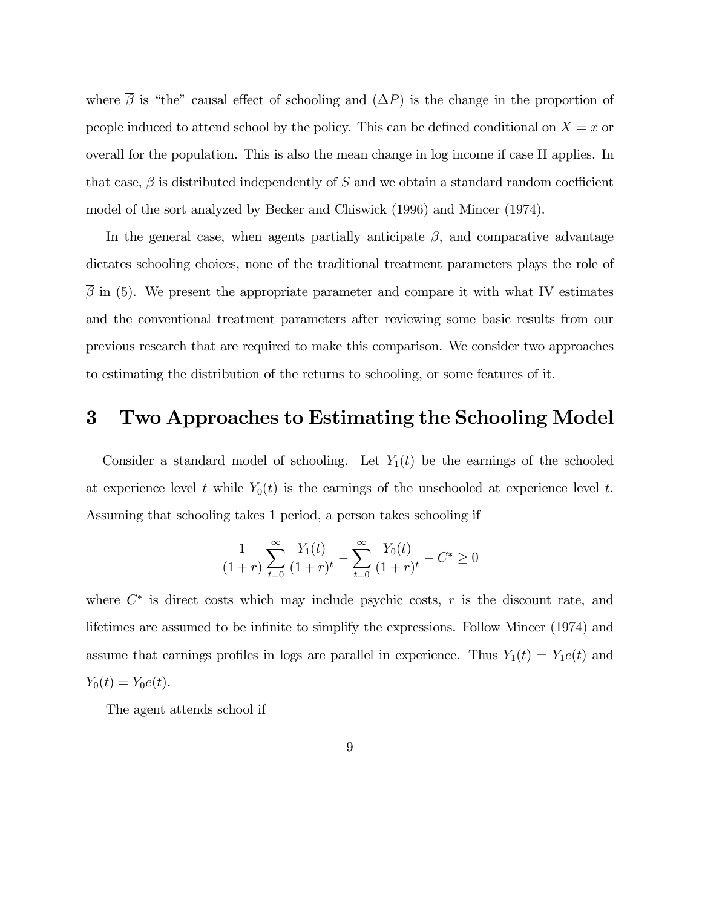where  $\overline{\beta}$  is "the" causal effect of schooling and  $(\Delta P)$  is the change in the proportion of people induced to attend school by the policy. This can be defined conditional on  $X = x$  or overall for the population. This is also the mean change in log income if case II applies. In that case,  $\beta$  is distributed independently of S and we obtain a standard random coefficient model of the sort analyzed by Becker and Chiswick (1996) and Mincer (1974).

In the general case, when agents partially anticipate  $\beta$ , and comparative advantage dictates schooling choices, none of the traditional treatment parameters plays the role of  $\beta$  in (5). We present the appropriate parameter and compare it with what IV estimates and the conventional treatment parameters after reviewing some basic results from our previous research that are required to make this comparison. We consider two approaches to estimating the distribution of the returns to schooling, or some features of it.

# 3 Two Approaches to Estimating the Schooling Model

Consider a standard model of schooling. Let  $Y_1(t)$  be the earnings of the schooled at experience level t while  $Y_0(t)$  is the earnings of the unschooled at experience level t. Assuming that schooling takes 1 period, a person takes schooling if

$$
\frac{1}{(1+r)}\sum_{t=0}^{\infty} \frac{Y_1(t)}{(1+r)^t} - \sum_{t=0}^{\infty} \frac{Y_0(t)}{(1+r)^t} - C^* \ge 0
$$

where  $C^*$  is direct costs which may include psychic costs,  $r$  is the discount rate, and lifetimes are assumed to be infinite to simplify the expressions. Follow Mincer (1974) and assume that earnings profiles in logs are parallel in experience. Thus  $Y_1(t) = Y_1e(t)$  and  $Y_0(t) = Y_0 e(t)$ .

The agent attends school if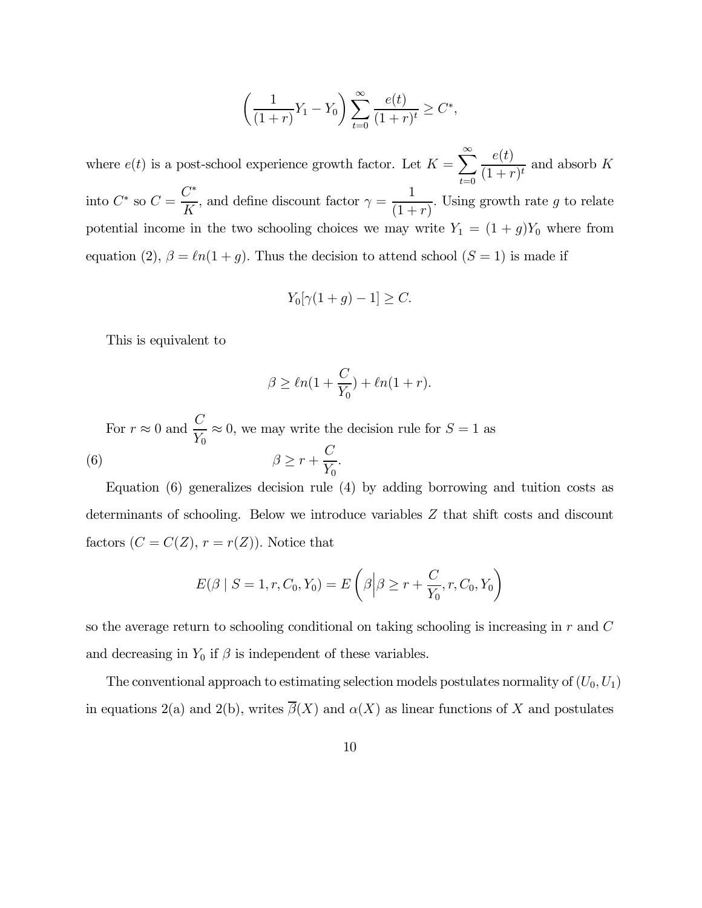$$
\left(\frac{1}{(1+r)}Y_1 - Y_0\right) \sum_{t=0}^{\infty} \frac{e(t)}{(1+r)^t} \ge C^*,
$$

where  $e(t)$  is a post-school experience growth factor. Let  $K = \sum_{n=1}^{\infty}$  $t=0$  $e(t)$  $\frac{C(v)}{(1+r)^t}$  and absorb K into  $C^*$  so  $C = \frac{C^*}{K}$ , and define discount factor  $\gamma = \frac{1}{(1+r)}$ . Using growth rate  $g$  to relate potential income in the two schooling choices we may write  $Y_1 = (1 + g)Y_0$  where from equation (2),  $\beta = \ln(1 + g)$ . Thus the decision to attend school (S = 1) is made if

$$
Y_0[\gamma(1+g)-1] \ge C.
$$

This is equivalent to

$$
\beta \geq \ln(1+\frac{C}{Y_0}) + \ln(1+r).
$$

For  $r \approx 0$  and  $\frac{C}{Y_0} \approx 0$ , we may write the decision rule for  $S = 1$  as (6)  $\beta \ge r +$  $\mathcal{C}_{0}^{(n)}$  $Y_0$ .

Equation (6) generalizes decision rule (4) by adding borrowing and tuition costs as determinants of schooling. Below we introduce variables Z that shift costs and discount factors  $(C = C(Z), r = r(Z))$ . Notice that

$$
E(\beta \mid S = 1, r, C_0, Y_0) = E\left(\beta \middle| \beta \ge r + \frac{C}{Y_0}, r, C_0, Y_0\right)
$$

so the average return to schooling conditional on taking schooling is increasing in  $r$  and  $C$ and decreasing in  $Y_0$  if  $\beta$  is independent of these variables.

The conventional approach to estimating selection models postulates normality of  $(U_0, U_1)$ in equations 2(a) and 2(b), writes  $\overline{\beta}(X)$  and  $\alpha(X)$  as linear functions of X and postulates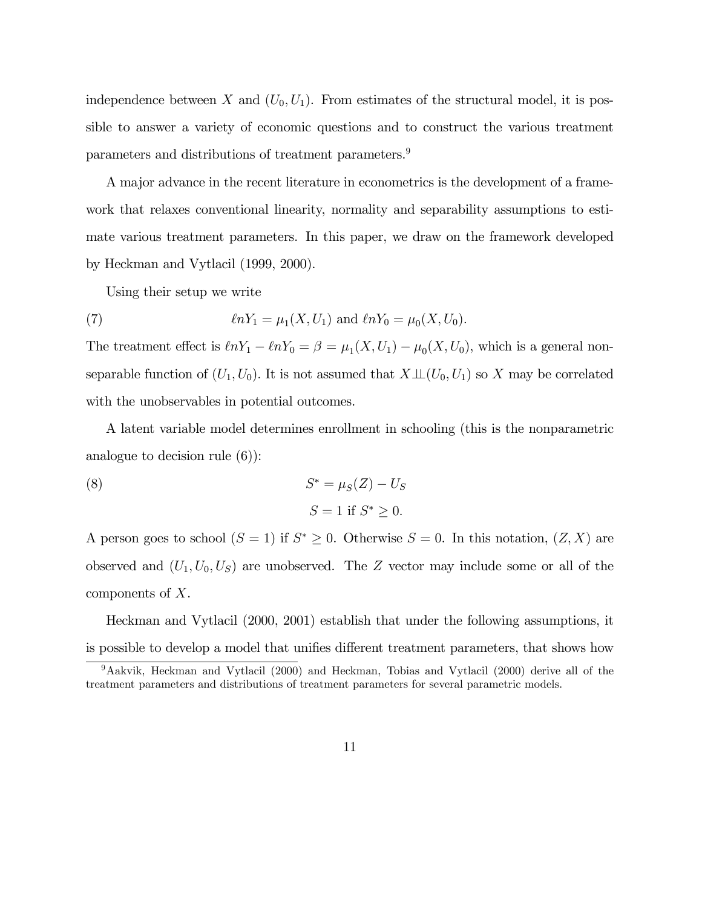independence between X and  $(U_0, U_1)$ . From estimates of the structural model, it is possible to answer a variety of economic questions and to construct the various treatment parameters and distributions of treatment parameters.9

A major advance in the recent literature in econometrics is the development of a framework that relaxes conventional linearity, normality and separability assumptions to estimate various treatment parameters. In this paper, we draw on the framework developed by Heckman and Vytlacil (1999, 2000).

Using their setup we write

(7) 
$$
\ell n Y_1 = \mu_1(X, U_1)
$$
 and  $\ell n Y_0 = \mu_0(X, U_0)$ .

The treatment effect is  $lnY_1 - lnY_0 = \beta = \mu_1(X, U_1) - \mu_0(X, U_0)$ , which is a general nonseparable function of  $(U_1, U_0)$ . It is not assumed that  $X \perp\!\!\!\perp (U_0, U_1)$  so X may be correlated with the unobservables in potential outcomes.

A latent variable model determines enrollment in schooling (this is the nonparametric analogue to decision rule (6)):

(8) 
$$
S^* = \mu_S(Z) - U_S
$$

$$
S = 1 \text{ if } S^* \ge 0.
$$

A person goes to school  $(S = 1)$  if  $S^* \geq 0$ . Otherwise  $S = 0$ . In this notation,  $(Z, X)$  are observed and  $(U_1, U_0, U_S)$  are unobserved. The Z vector may include some or all of the components of X.

Heckman and Vytlacil (2000, 2001) establish that under the following assumptions, it is possible to develop a model that unifies different treatment parameters, that shows how

<sup>9</sup>Aakvik, Heckman and Vytlacil (2000) and Heckman, Tobias and Vytlacil (2000) derive all of the treatment parameters and distributions of treatment parameters for several parametric models.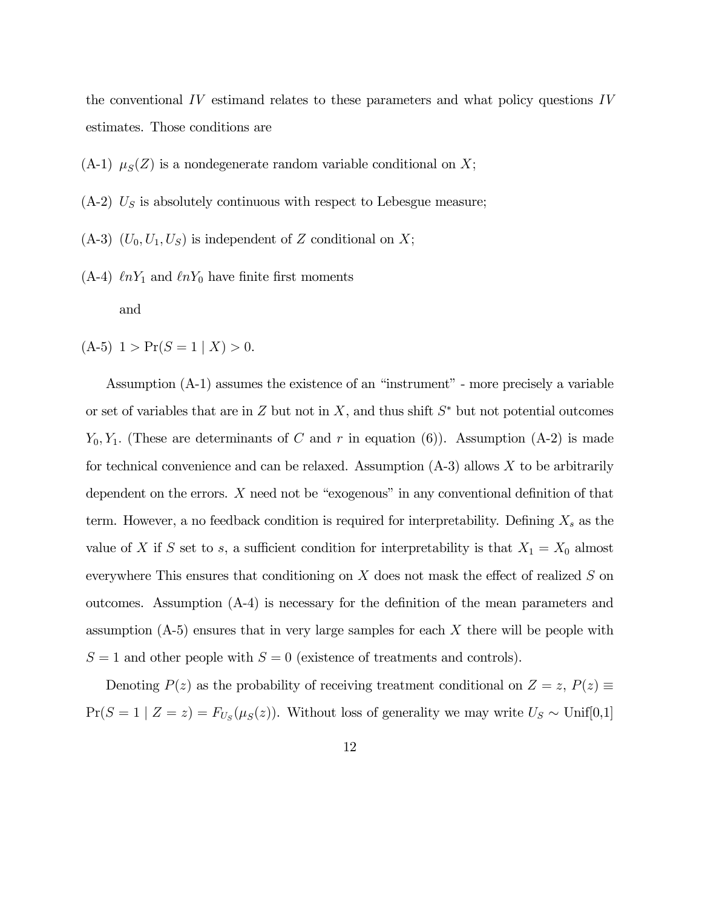the conventional IV estimand relates to these parameters and what policy questions IV estimates. Those conditions are

- $(A-1)$   $\mu_S(Z)$  is a nondegenerate random variable conditional on X;
- $(A-2)$  U<sub>S</sub> is absolutely continuous with respect to Lebesgue measure;
- (A-3)  $(U_0, U_1, U_S)$  is independent of Z conditional on X;
- $(A-4)$   $lnY_1$  and  $lnY_0$  have finite first moments

and

 $(A-5)$  1 >  $Pr(S = 1 | X)$  > 0.

Assumption (A-1) assumes the existence of an "instrument" - more precisely a variable or set of variables that are in  $Z$  but not in  $X$ , and thus shift  $S^*$  but not potential outcomes  $Y_0, Y_1$ . (These are determinants of C and r in equation (6)). Assumption (A-2) is made for technical convenience and can be relaxed. Assumption  $(A-3)$  allows X to be arbitrarily dependent on the errors. X need not be "exogenous" in any conventional definition of that term. However, a no feedback condition is required for interpretability. Defining  $X_s$  as the value of X if S set to s, a sufficient condition for interpretability is that  $X_1 = X_0$  almost everywhere This ensures that conditioning on  $X$  does not mask the effect of realized  $S$  on outcomes. Assumption (A-4) is necessary for the definition of the mean parameters and assumption  $(A-5)$  ensures that in very large samples for each X there will be people with  $S = 1$  and other people with  $S = 0$  (existence of treatments and controls).

Denoting  $P(z)$  as the probability of receiving treatment conditional on  $Z = z$ ,  $P(z) \equiv$ Pr(S = 1 | Z = z) =  $F_{U_S}(\mu_S(z))$ . Without loss of generality we may write  $U_S \sim$  Unif[0,1]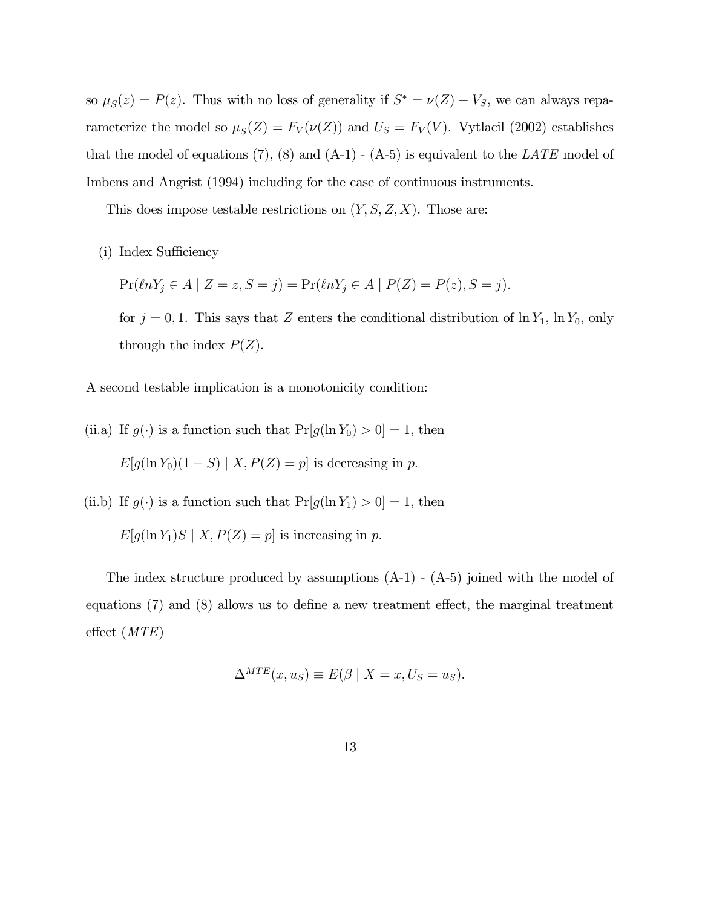so  $\mu_S(z) = P(z)$ . Thus with no loss of generality if  $S^* = \nu(Z) - V_S$ , we can always reparameterize the model so  $\mu_S(Z) = F_V(\nu(Z))$  and  $U_S = F_V(V)$ . Vytlacil (2002) establishes that the model of equations  $(7)$ ,  $(8)$  and  $(A-1)$  -  $(A-5)$  is equivalent to the LATE model of Imbens and Angrist (1994) including for the case of continuous instruments.

This does impose testable restrictions on  $(Y, S, Z, X)$ . Those are:

(i) Index Sufficiency

$$
Pr(\ln Y_j \in A \mid Z = z, S = j) = Pr(\ln Y_j \in A \mid P(Z) = P(z), S = j).
$$

for  $j = 0, 1$ . This says that Z enters the conditional distribution of  $\ln Y_1$ ,  $\ln Y_0$ , only through the index  $P(Z)$ .

A second testable implication is a monotonicity condition:

(ii.a) If  $g(\cdot)$  is a function such that  $Pr[g(\ln Y_0) > 0] = 1$ , then  $E[g(\ln Y_0)(1-S) | X, P(Z) = p]$  is decreasing in p.

(ii.b) If  $g(\cdot)$  is a function such that  $Pr[g(\ln Y_1) > 0] = 1$ , then

 $E[g(\ln Y_1)S \mid X, P(Z) = p]$  is increasing in p.

The index structure produced by assumptions  $(A-1) - (A-5)$  joined with the model of equations (7) and (8) allows us to define a new treatment effect, the marginal treatment effect (MTE)

$$
\Delta^{MTE}(x, u_S) \equiv E(\beta \mid X = x, U_S = u_S).
$$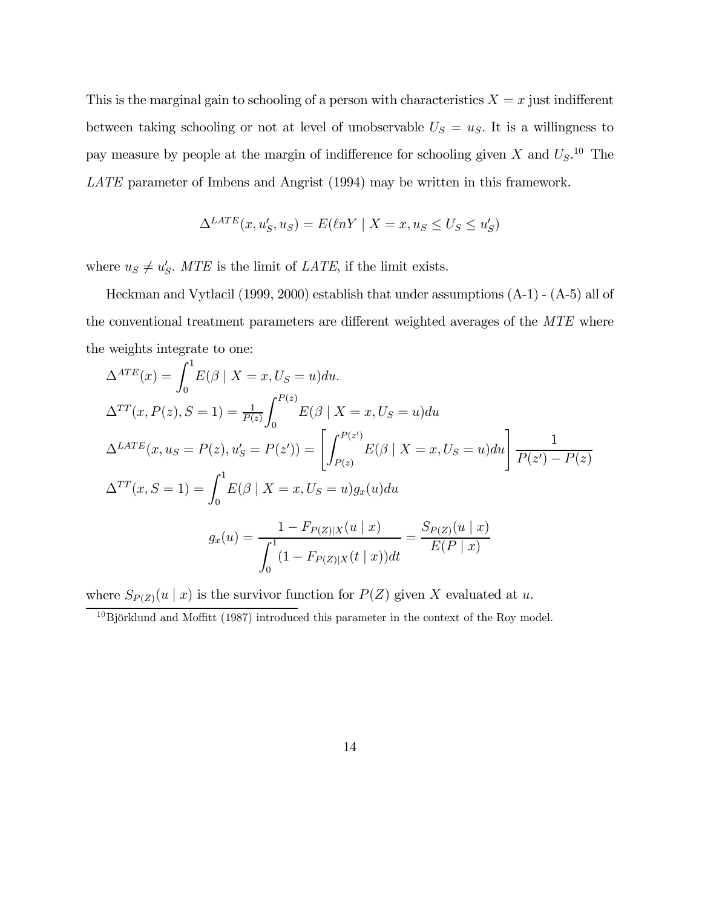This is the marginal gain to schooling of a person with characteristics  $X = x$  just indifferent between taking schooling or not at level of unobservable  $U_s = u_s$ . It is a willingness to pay measure by people at the margin of indifference for schooling given X and  $U_S$ <sup>10</sup> The LATE parameter of Imbens and Angrist (1994) may be written in this framework.

$$
\Delta^{LATE}(x, u'_S, u_S) = E(\ln Y \mid X = x, u_S \le U_S \le u'_S)
$$

where  $u_s \neq u'_s$ . MTE is the limit of LATE, if the limit exists.

Heckman and Vytlacil (1999, 2000) establish that under assumptions (A-1) - (A-5) all of the conventional treatment parameters are different weighted averages of the MTE where the weights integrate to one:

$$
\Delta^{ATE}(x) = \int_{0}^{1} E(\beta | X = x, U_{S} = u) du.
$$
  
\n
$$
\Delta^{TT}(x, P(z), S = 1) = \frac{1}{P(z)} \int_{0}^{P(z)} E(\beta | X = x, U_{S} = u) du
$$
  
\n
$$
\Delta^{LATE}(x, u_{S} = P(z), u'_{S} = P(z')) = \left[ \int_{P(z)}^{P(z')} E(\beta | X = x, U_{S} = u) du \right] \frac{1}{P(z') - P(z)}
$$
  
\n
$$
\Delta^{TT}(x, S = 1) = \int_{0}^{1} E(\beta | X = x, U_{S} = u) g_{x}(u) du
$$
  
\n
$$
g_{x}(u) = \frac{1 - F_{P(Z)|X}(u | x)}{\int_{0}^{1} (1 - F_{P(Z)|X}(t | x)) dt} = \frac{S_{P(Z)}(u | x)}{E(P | x)}
$$

where  $S_{P(Z)}(u \mid x)$  is the survivor function for  $P(Z)$  given X evaluated at u.

<sup>&</sup>lt;sup>10</sup>Björklund and Moffitt (1987) introduced this parameter in the context of the Roy model.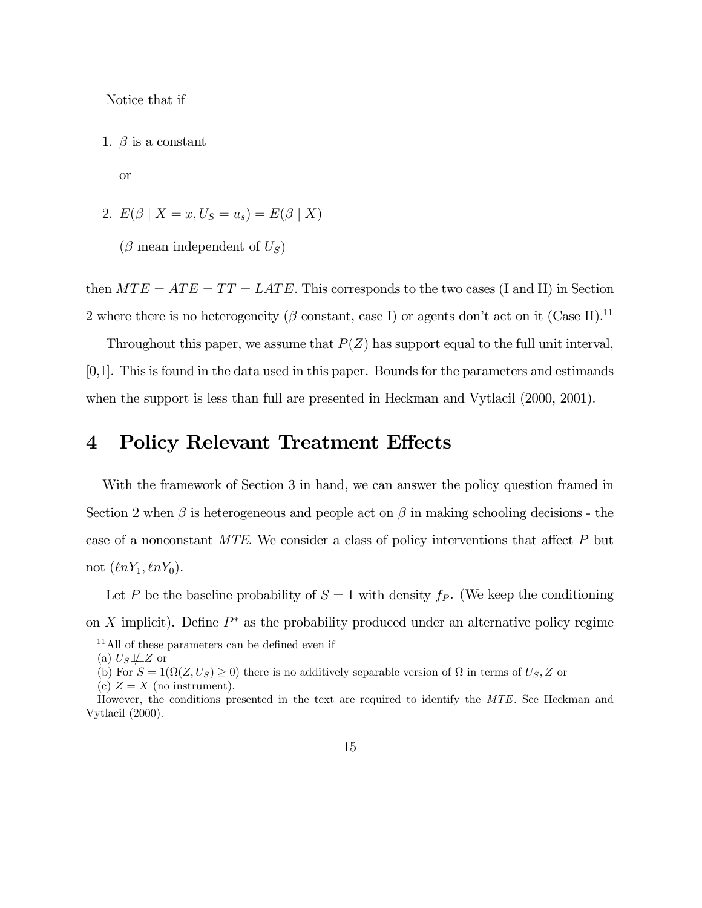Notice that if

```
1. \beta is a constant
```
or

- 2.  $E(\beta | X = x, U_s = u_s) = E(\beta | X)$ 
	- $(\beta \text{ mean independent of } U_s)$

then  $MTE = ATE = TT = LATE$ . This corresponds to the two cases (I and II) in Section 2 where there is no heterogeneity ( $\beta$  constant, case I) or agents don't act on it (Case II).<sup>11</sup>

Throughout this paper, we assume that  $P(Z)$  has support equal to the full unit interval, [0,1]. This is found in the data used in this paper. Bounds for the parameters and estimands when the support is less than full are presented in Heckman and Vytlacil (2000, 2001).

### 4 Policy Relevant Treatment Effects

With the framework of Section 3 in hand, we can answer the policy question framed in Section 2 when  $\beta$  is heterogeneous and people act on  $\beta$  in making schooling decisions - the case of a nonconstant MTE. We consider a class of policy interventions that affect P but not  $(\ell nY_1, \ell nY_0)$ .

Let P be the baseline probability of  $S = 1$  with density  $f_P$ . (We keep the conditioning on X implicit). Define  $P^*$  as the probability produced under an alternative policy regime

<sup>&</sup>lt;sup>11</sup>All of these parameters can be defined even if

<sup>(</sup>a)  $U_S \not\perp \!\!\! \perp Z$  or

<sup>(</sup>b) For  $S = 1(\Omega(Z, U_S) \ge 0)$  there is no additively separable version of  $\Omega$  in terms of  $U_S$ , Z or

<sup>(</sup>c)  $Z = X$  (no instrument).

However, the conditions presented in the text are required to identify the MTE. See Heckman and Vytlacil (2000).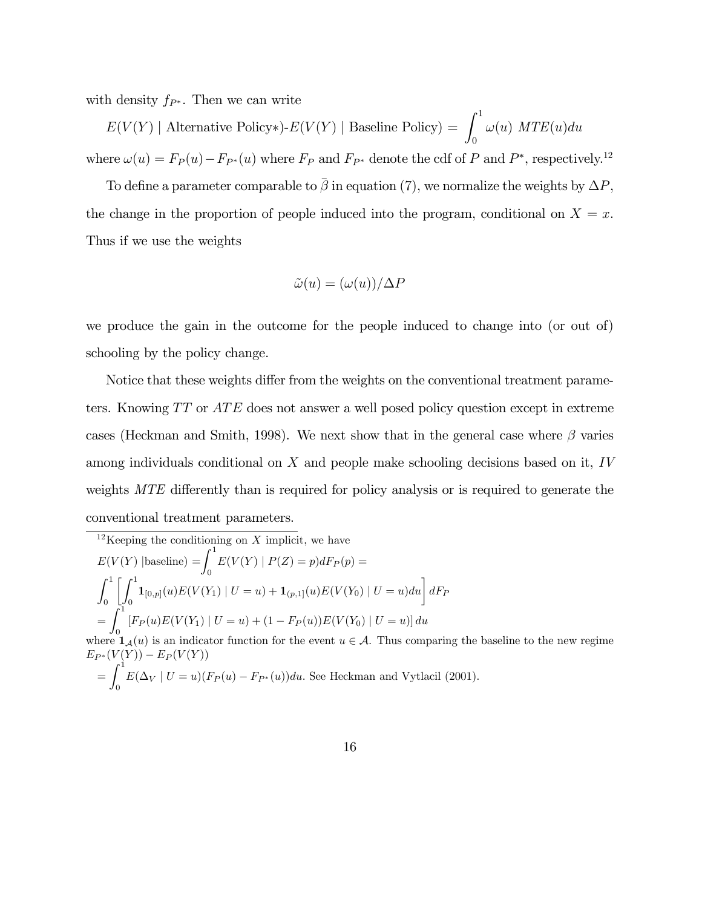with density  $f_{P^*}$ . Then we can write

 $E(V(Y) |$  Alternative Policy∗)- $E(V(Y) |$  Baseline Policy) =  $\int_0^1$  $\mathbf{0}$  $\omega(u)$   $MTE(u)du$ where  $\omega(u) = F_P(u) - F_{P^*}(u)$  where  $F_P$  and  $F_{P^*}$  denote the cdf of P and  $P^*$ , respectively.<sup>12</sup>

To define a parameter comparable to  $\bar{\beta}$  in equation (7), we normalize the weights by  $\Delta P$ , the change in the proportion of people induced into the program, conditional on  $X = x$ . Thus if we use the weights

$$
\tilde{\omega}(u) = (\omega(u))/\Delta F
$$

we produce the gain in the outcome for the people induced to change into (or out of) schooling by the policy change.

Notice that these weights differ from the weights on the conventional treatment parameters. Knowing  $TT$  or  $ATE$  does not answer a well posed policy question except in extreme cases (Heckman and Smith, 1998). We next show that in the general case where  $\beta$  varies among individuals conditional on  $X$  and people make schooling decisions based on it, IV weights MTE differently than is required for policy analysis or is required to generate the conventional treatment parameters.

$$
{}^{12}
$$
 Keeping the conditioning on X implicit, we have  
\n
$$
E(V(Y) | \text{baseline}) = \int_0^1 E(V(Y) | P(Z) = p) dF_P(p) =
$$
\n
$$
\int_0^1 \left[ \int_0^1 \mathbf{1}_{[0,p]}(u) E(V(Y_1) | U = u) + \mathbf{1}_{(p,1]}(u) E(V(Y_0) | U = u) du \right] dF_P
$$
\n
$$
= \int_0^1 \left[ F_P(u) E(V(Y_1) | U = u) + (1 - F_P(u)) E(V(Y_0) | U = u) \right] du
$$

where  $\mathbf{1}_{\mathcal{A}}(u)$  is an indicator function for the event  $u \in \mathcal{A}$ . Thus comparing the baseline to the new regime  $E_{P^*}(V(Y)) - E_P(V(Y))$ 

$$
= \int_0^1 E(\Delta_V \mid U = u)(F_P(u) - F_{P^*}(u))du.
$$
 See Heckman and Vytlacil (2001).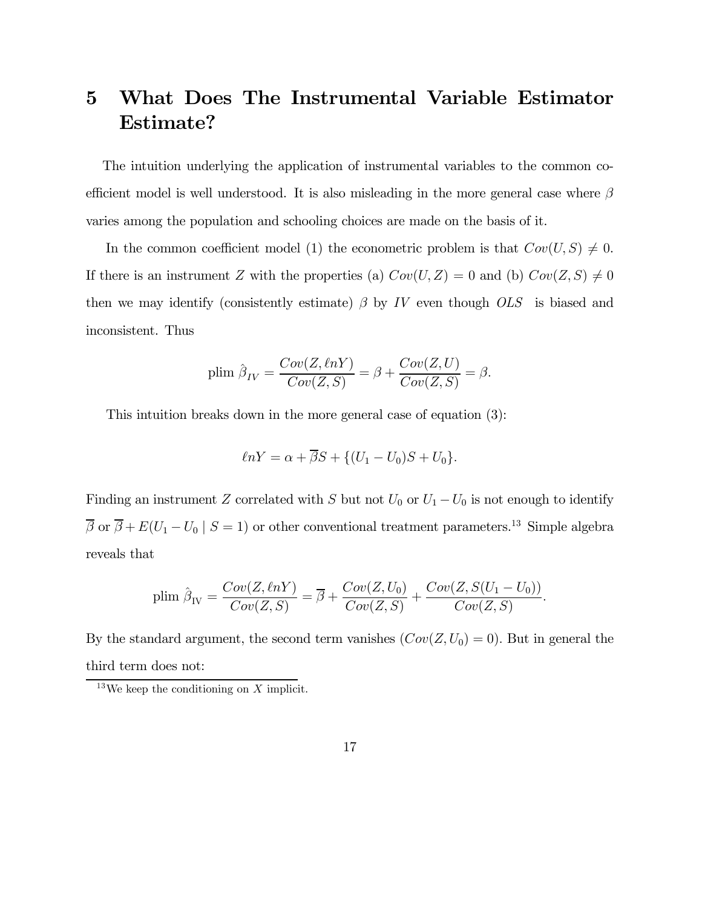# 5 What Does The Instrumental Variable Estimator Estimate?

The intuition underlying the application of instrumental variables to the common coefficient model is well understood. It is also misleading in the more general case where  $\beta$ varies among the population and schooling choices are made on the basis of it.

In the common coefficient model (1) the econometric problem is that  $Cov(U, S) \neq 0$ . If there is an instrument Z with the properties (a)  $Cov(U, Z)=0$  and (b)  $Cov(Z, S) \neq 0$ then we may identify (consistently estimate)  $\beta$  by IV even though  $OLS$  is biased and inconsistent. Thus

$$
\text{plim }\hat{\beta}_{IV} = \frac{Cov(Z, \ln Y)}{Cov(Z, S)} = \beta + \frac{Cov(Z, U)}{Cov(Z, S)} = \beta.
$$

This intuition breaks down in the more general case of equation (3):

$$
\ell nY = \alpha + \overline{\beta}S + \{(U_1 - U_0)S + U_0\}.
$$

Finding an instrument Z correlated with S but not  $U_0$  or  $U_1 - U_0$  is not enough to identify  $\overline{\beta}$  or  $\overline{\beta} + E(U_1 - U_0 \mid S = 1)$  or other conventional treatment parameters.<sup>13</sup> Simple algebra reveals that

$$
\text{plim }\hat{\beta}_{\text{IV}} = \frac{Cov(Z, \ell nY)}{Cov(Z, S)} = \overline{\beta} + \frac{Cov(Z, U_0)}{Cov(Z, S)} + \frac{Cov(Z, S(U_1 - U_0))}{Cov(Z, S)}.
$$

By the standard argument, the second term vanishes  $(Cov(Z, U_0) = 0)$ . But in general the third term does not:

<sup>&</sup>lt;sup>13</sup>We keep the conditioning on X implicit.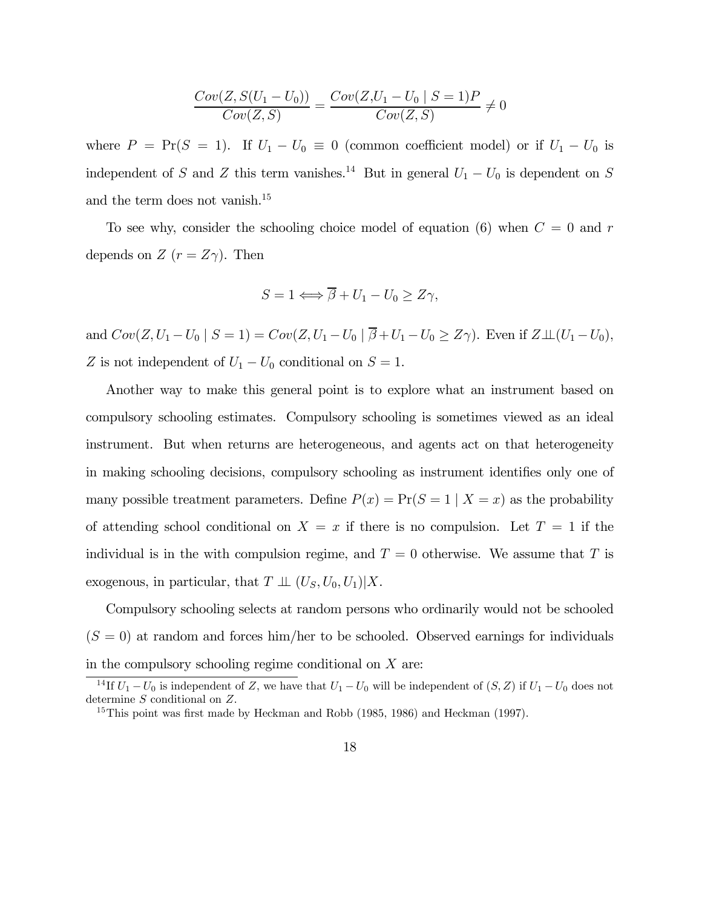$$
\frac{Cov(Z, S(U_1 - U_0))}{Cov(Z, S)} = \frac{Cov(Z, U_1 - U_0 | S = 1)P}{Cov(Z, S)} \neq 0
$$

where  $P = Pr(S = 1)$ . If  $U_1 - U_0 \equiv 0$  (common coefficient model) or if  $U_1 - U_0$  is independent of S and Z this term vanishes.<sup>14</sup> But in general  $U_1 - U_0$  is dependent on S and the term does not vanish.15

To see why, consider the schooling choice model of equation (6) when  $C = 0$  and r depends on  $Z(r = Z\gamma)$ . Then

$$
S=1 \Longleftrightarrow \overline{\beta}+U_1-U_0 \geq Z\gamma,
$$

and  $Cov(Z, U_1 - U_0 | S = 1) = Cov(Z, U_1 - U_0 | \overline{\beta} + U_1 - U_0 \ge Z\gamma)$ . Even if  $Z \perp \!\!\!\perp (U_1 - U_0)$ , Z is not independent of  $U_1 - U_0$  conditional on  $S = 1$ .

Another way to make this general point is to explore what an instrument based on compulsory schooling estimates. Compulsory schooling is sometimes viewed as an ideal instrument. But when returns are heterogeneous, and agents act on that heterogeneity in making schooling decisions, compulsory schooling as instrument identifies only one of many possible treatment parameters. Define  $P(x) = Pr(S = 1 | X = x)$  as the probability of attending school conditional on  $X = x$  if there is no compulsion. Let  $T = 1$  if the individual is in the with compulsion regime, and  $T = 0$  otherwise. We assume that T is exogenous, in particular, that  $T \perp\!\!\!\perp (U_S, U_0, U_1)|X$ .

Compulsory schooling selects at random persons who ordinarily would not be schooled  $(S = 0)$  at random and forces him/her to be schooled. Observed earnings for individuals in the compulsory schooling regime conditional on X are:

<sup>&</sup>lt;sup>14</sup> If  $U_1 - U_0$  is independent of Z, we have that  $U_1 - U_0$  will be independent of  $(S, Z)$  if  $U_1 - U_0$  does not determine  $S$  conditional on  $Z$ .

 $15$ This point was first made by Heckman and Robb (1985, 1986) and Heckman (1997).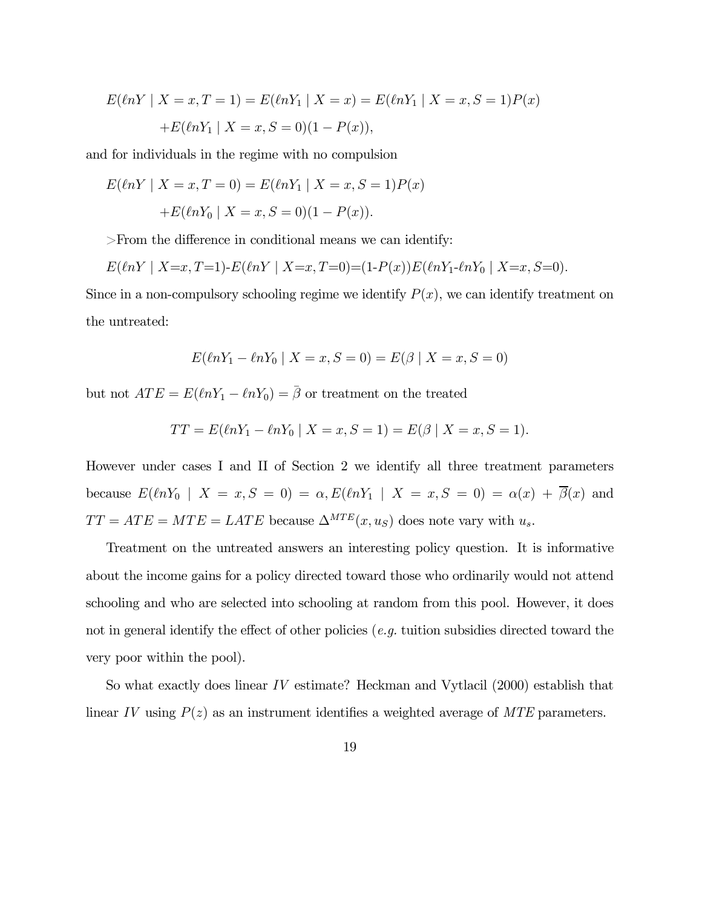$$
E(\ln Y \mid X = x, T = 1) = E(\ln Y_1 \mid X = x) = E(\ln Y_1 \mid X = x, S = 1)P(x)
$$

$$
+ E(\ln Y_1 \mid X = x, S = 0)(1 - P(x)),
$$

and for individuals in the regime with no compulsion

$$
E(\ln Y \mid X = x, T = 0) = E(\ln Y_1 \mid X = x, S = 1)P(x)
$$

$$
+ E(\ln Y_0 \mid X = x, S = 0)(1 - P(x)).
$$

>From the difference in conditional means we can identify:

$$
E(\ln Y \mid X=x, T=1) - E(\ln Y \mid X=x, T=0) = (1 - P(x))E(\ln Y_1 - \ln Y_0 \mid X=x, S=0).
$$

Since in a non-compulsory schooling regime we identify  $P(x)$ , we can identify treatment on the untreated:

$$
E(\ln Y_1 - \ln Y_0 \mid X = x, S = 0) = E(\beta \mid X = x, S = 0)
$$

but not  $ATE = E(\ln Y_1 - \ln Y_0) = \bar{\beta}$  or treatment on the treated

$$
TT = E(\ln Y_1 - \ln Y_0 \mid X = x, S = 1) = E(\beta \mid X = x, S = 1).
$$

However under cases I and II of Section 2 we identify all three treatment parameters because  $E(\ln Y_0 | X = x, S = 0) = \alpha, E(\ln Y_1 | X = x, S = 0) = \alpha(x) + \overline{\beta}(x)$  and  $TT = ATE = MTE = LATE$  because  $\Delta^{MTE}(x, u_S)$  does note vary with  $u_s$ .

Treatment on the untreated answers an interesting policy question. It is informative about the income gains for a policy directed toward those who ordinarily would not attend schooling and who are selected into schooling at random from this pool. However, it does not in general identify the effect of other policies  $(e,q)$  tuition subsidies directed toward the very poor within the pool).

So what exactly does linear IV estimate? Heckman and Vytlacil (2000) establish that linear IV using  $P(z)$  as an instrument identifies a weighted average of MTE parameters.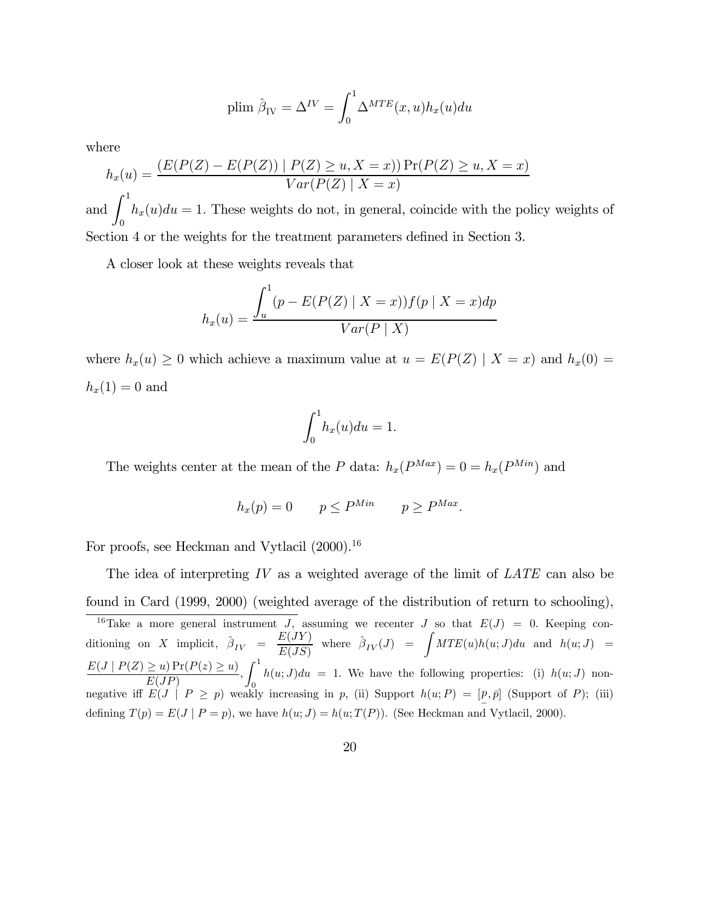plim 
$$
\hat{\beta}_{IV} = \Delta^{IV} = \int_0^1 \Delta^{MTE}(x, u) h_x(u) du
$$

where

$$
h_x(u) = \frac{(E(P(Z) - E(P(Z)) | P(Z) \ge u, X = x)) \Pr(P(Z) \ge u, X = x)}{Var(P(Z) | X = x)}
$$

and  $\int_1^1$ 0  $h_x(u)du = 1$ . These weights do not, in general, coincide with the policy weights of Section 4 or the weights for the treatment parameters defined in Section 3.

A closer look at these weights reveals that

$$
h_x(u) = \frac{\int_u^1 (p - E(P(Z) \mid X = x)) f(p \mid X = x) dp}{Var(P \mid X)}
$$

where  $h_x(u) \geq 0$  which achieve a maximum value at  $u = E(P(Z) | X = x)$  and  $h_x(0) =$  $h_x(1) = 0$  and

$$
\int_0^1 h_x(u) du = 1.
$$

The weights center at the mean of the P data:  $h_x(P^{Max})=0=h_x(P^{Min})$  and

$$
h_x(p) = 0 \t p \le P^{Min} \t p \ge P^{Max}.
$$

For proofs, see Heckman and Vytlacil  $(2000).^{16}$ 

The idea of interpreting IV as a weighted average of the limit of LATE can also be found in Card (1999, 2000) (weighted average of the distribution of return to schooling),

<sup>16</sup>Take a more general instrument J, assuming we recenter J so that  $E(J) = 0$ . Keeping conditioning on X implicit,  $\hat{\beta}_{IV} = \frac{E(JY)}{E(JS)}$  where  $\hat{\beta}_{IV}(J) = \int MTE(u)h(u;J)du$  and  $h(u;J)$  $\frac{E(J \mid P(Z) \geq u) \Pr(P(z) \geq u)}{E(JP)},$  $\int_0^1$ 0  $h(u; J)du = 1$ . We have the following properties: (i)  $h(u; J)$  nonnegative iff  $E(J \mid P \geq p)$  weakly increasing in p, (ii) Support  $h(u; P) = [p]$  $,\bar{p}$  (Support of P); (iii) defining  $T(p) = E(J | P = p)$ , we have  $h(u; J) = h(u; T(P))$ . (See Heckman and Vytlacil, 2000).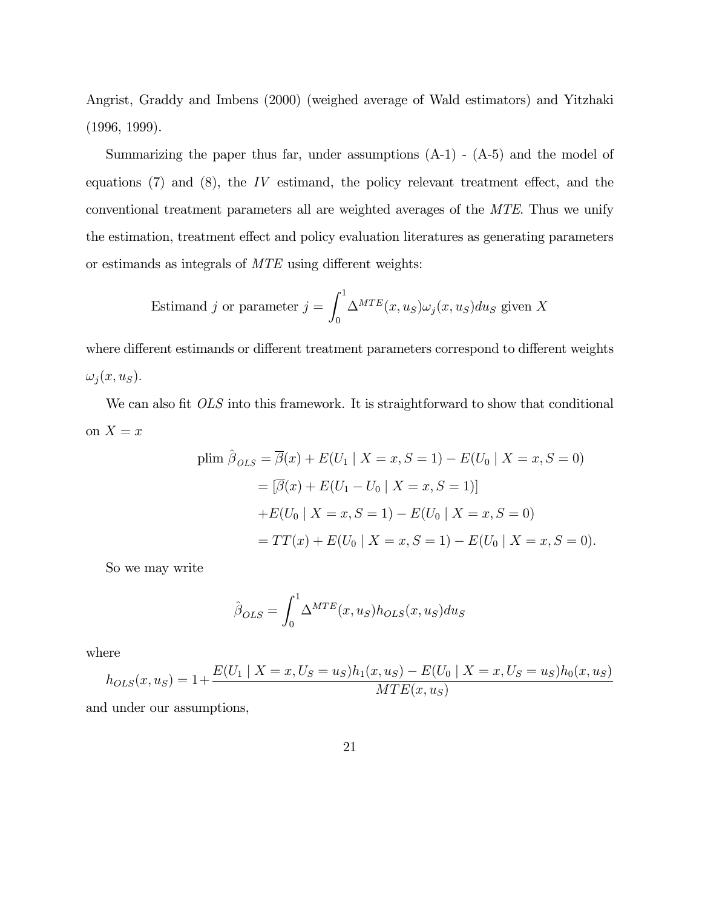Angrist, Graddy and Imbens (2000) (weighed average of Wald estimators) and Yitzhaki (1996, 1999).

Summarizing the paper thus far, under assumptions  $(A-1) - (A-5)$  and the model of equations  $(7)$  and  $(8)$ , the IV estimand, the policy relevant treatment effect, and the conventional treatment parameters all are weighted averages of the MTE. Thus we unify the estimation, treatment effect and policy evaluation literatures as generating parameters or estimands as integrals of MTE using different weights:

Estimand *j* or parameter 
$$
j = \int_0^1 \Delta^{MTE}(x, u_S) \omega_j(x, u_S) du_S
$$
 given X

where different estimands or different treatment parameters correspond to different weights  $\omega_j(x, u_s)$ .

We can also fit OLS into this framework. It is straightforward to show that conditional on  $X = x$ 

plim 
$$
\hat{\beta}_{OLS} = \overline{\beta}(x) + E(U_1 | X = x, S = 1) - E(U_0 | X = x, S = 0)
$$
  
\n
$$
= [\overline{\beta}(x) + E(U_1 - U_0 | X = x, S = 1)]
$$
\n
$$
+ E(U_0 | X = x, S = 1) - E(U_0 | X = x, S = 0)
$$
\n
$$
= TT(x) + E(U_0 | X = x, S = 1) - E(U_0 | X = x, S = 0).
$$

So we may write

$$
\hat{\beta}_{OLS} = \int_0^1 \Delta^{MTE}(x, u_S) h_{OLS}(x, u_S) du_S
$$

where

$$
h_{OLS}(x, u_S) = 1 + \frac{E(U_1 \mid X = x, U_S = u_S)h_1(x, u_S) - E(U_0 \mid X = x, U_S = u_S)h_0(x, u_S)}{MTE(x, u_S)}
$$

and under our assumptions,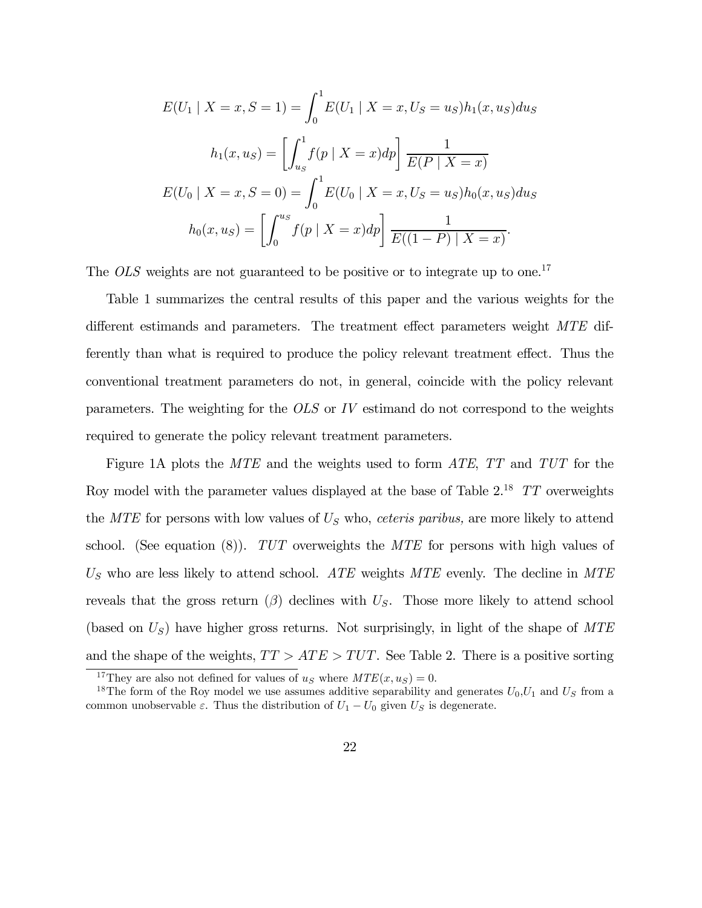$$
E(U_1 | X = x, S = 1) = \int_0^1 E(U_1 | X = x, U_S = u_S) h_1(x, u_S) du_S
$$

$$
h_1(x, u_S) = \left[ \int_{u_S}^1 f(p | X = x) dp \right] \frac{1}{E(P | X = x)}
$$

$$
E(U_0 | X = x, S = 0) = \int_0^1 E(U_0 | X = x, U_S = u_S) h_0(x, u_S) du_S
$$

$$
h_0(x, u_S) = \left[ \int_0^{u_S} f(p | X = x) dp \right] \frac{1}{E((1 - P) | X = x)}.
$$

The  $OLS$  weights are not guaranteed to be positive or to integrate up to one.<sup>17</sup>

Table 1 summarizes the central results of this paper and the various weights for the different estimands and parameters. The treatment effect parameters weight MTE differently than what is required to produce the policy relevant treatment effect. Thus the conventional treatment parameters do not, in general, coincide with the policy relevant parameters. The weighting for the OLS or IV estimand do not correspond to the weights required to generate the policy relevant treatment parameters.

Figure 1A plots the MTE and the weights used to form ATE, TT and TUT for the Roy model with the parameter values displayed at the base of Table  $2^{18}$  TT overweights the MTE for persons with low values of  $U<sub>S</sub>$  who, *ceteris paribus*, are more likely to attend school. (See equation (8)).  $TUT$  overweights the MTE for persons with high values of  $U<sub>S</sub>$  who are less likely to attend school. ATE weights MTE evenly. The decline in MTE reveals that the gross return  $(\beta)$  declines with  $U<sub>S</sub>$ . Those more likely to attend school (based on  $U<sub>S</sub>$ ) have higher gross returns. Not surprisingly, in light of the shape of  $MTE$ and the shape of the weights,  $TT > ATE > TUT$ . See Table 2. There is a positive sorting

<sup>&</sup>lt;sup>17</sup>They are also not defined for values of  $u_S$  where  $MTE(x, u_S) = 0$ .<br><sup>18</sup>The form of the Roy model we use assumes additive separability and generates  $U_0, U_1$  and  $U_S$  from a common unobservable  $\varepsilon$ . Thus the distribution of  $U_1 - U_0$  given  $U_S$  is degenerate.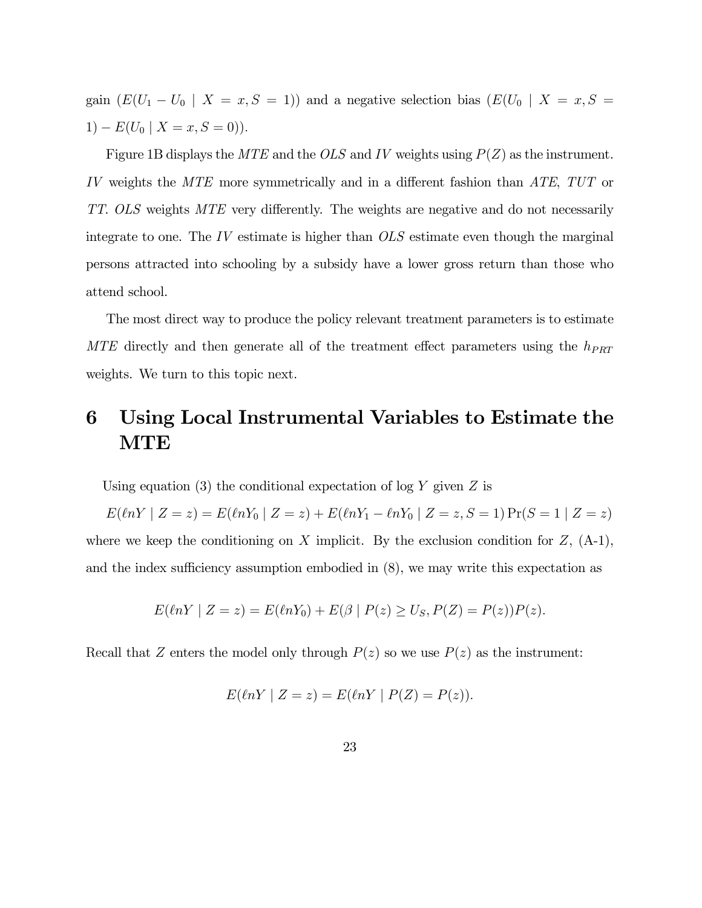gain  $(E(U_1 - U_0 \mid X = x, S = 1))$  and a negative selection bias  $(E(U_0 \mid X = x, S =$ 1) –  $E(U_0 \mid X = x, S = 0)$ ).

Figure 1B displays the *MTE* and the *OLS* and *IV* weights using  $P(Z)$  as the instrument. IV weights the MTE more symmetrically and in a different fashion than ATE, TUT or TT. OLS weights MTE very differently. The weights are negative and do not necessarily integrate to one. The IV estimate is higher than  $OLS$  estimate even though the marginal persons attracted into schooling by a subsidy have a lower gross return than those who attend school.

The most direct way to produce the policy relevant treatment parameters is to estimate  $MTE$  directly and then generate all of the treatment effect parameters using the  $h_{PRT}$ weights. We turn to this topic next.

# 6 Using Local Instrumental Variables to Estimate the MTE

Using equation (3) the conditional expectation of log  $Y$  given  $Z$  is

 $E(\ln Y | Z = z) = E(\ln Y_0 | Z = z) + E(\ln Y_1 - \ln Y_0 | Z = z, S = 1) \Pr(S = 1 | Z = z)$ where we keep the conditioning on X implicit. By the exclusion condition for  $Z$ ,  $(A-1)$ , and the index sufficiency assumption embodied in (8), we may write this expectation as

$$
E(\ln Y \mid Z = z) = E(\ln Y_0) + E(\beta \mid P(z) \ge U_S, P(Z) = P(z))P(z).
$$

Recall that Z enters the model only through  $P(z)$  so we use  $P(z)$  as the instrument:

$$
E(\ln Y \mid Z = z) = E(\ln Y \mid P(Z) = P(z)).
$$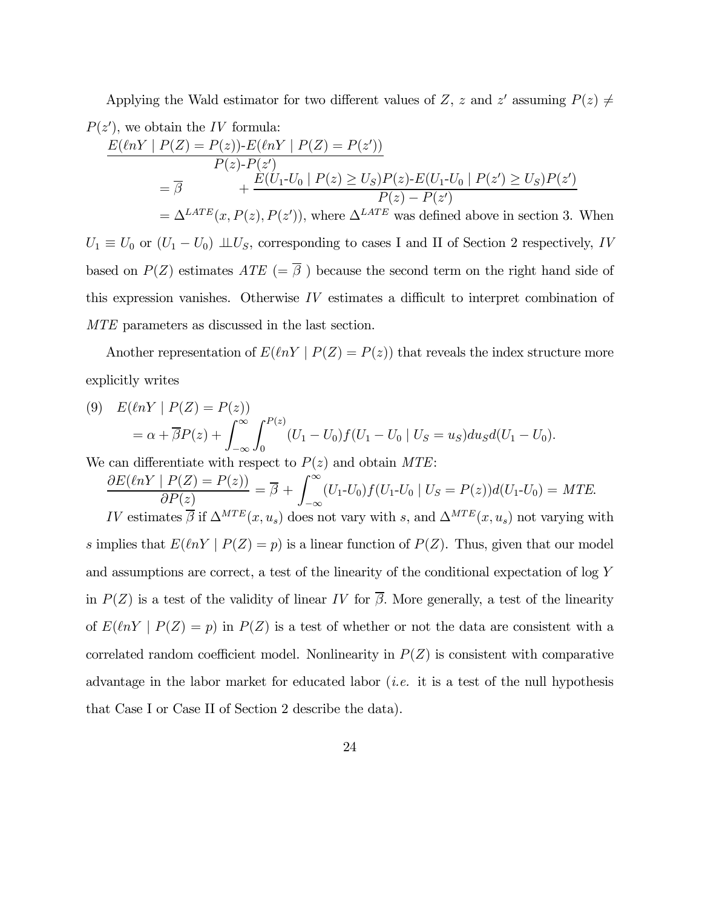Applying the Wald estimator for two different values of Z, z and z' assuming  $P(z) \neq$ 

$$
P(z'), \text{ we obtain the } IV \text{ formula:}
$$
  
\n
$$
\frac{E(\ln Y \mid P(Z) = P(z)) - E(\ln Y \mid P(Z) = P(z'))}{P(z) - P(z')}
$$
  
\n
$$
= \overline{\beta} + \frac{E(U_1 - U_0 \mid P(z) \ge U_S)P(z) - E(U_1 - U_0 \mid P(z') \ge U_S)P(z')}{P(z) - P(z')}
$$
  
\n
$$
= \Delta^{LATE}(x, P(z), P(z')), \text{ where } \Delta^{LATE} \text{ was defined above in section 3. When}
$$

 $U_1 \equiv U_0$  or  $(U_1 - U_0) \perp U_s$ , corresponding to cases I and II of Section 2 respectively, IV based on  $P(Z)$  estimates  $ATE (= \overline{\beta})$  because the second term on the right hand side of this expression vanishes. Otherwise IV estimates a difficult to interpret combination of MTE parameters as discussed in the last section.

Another representation of  $E(\ln Y | P(Z) = P(z))$  that reveals the index structure more explicitly writes

(9) 
$$
E(\ln Y \mid P(Z) = P(z)) = \alpha + \overline{\beta}P(z) + \int_{-\infty}^{\infty} \int_{0}^{P(z)} (U_1 - U_0) f(U_1 - U_0 \mid U_S = u_S) du_S d(U_1 - U_0).
$$

We can differentiate with respect to  $P(z)$  and obtain MTE:

$$
\frac{\partial E(\ln Y \mid P(Z) = P(z))}{\partial P(z)} = \overline{\beta} + \int_{-\infty}^{\infty} (U_1 \cdot U_0) f(U_1 \cdot U_0 \mid U_S = P(z)) d(U_1 \cdot U_0) = MTE.
$$
  

IV estimates  $\beta$  if  $\Delta^{MTE}(x, u_s)$  does not vary with s, and  $\Delta^{MTE}(x, u_s)$  not varying with s implies that  $E(\ln Y | P(Z) = p)$  is a linear function of  $P(Z)$ . Thus, given that our model and assumptions are correct, a test of the linearity of the conditional expectation of log Y in  $P(Z)$  is a test of the validity of linear IV for  $\overline{\beta}$ . More generally, a test of the linearity of  $E(\ln Y | P(Z) = p)$  in  $P(Z)$  is a test of whether or not the data are consistent with a correlated random coefficient model. Nonlinearity in  $P(Z)$  is consistent with comparative advantage in the labor market for educated labor (i.e. it is a test of the null hypothesis that Case I or Case II of Section 2 describe the data).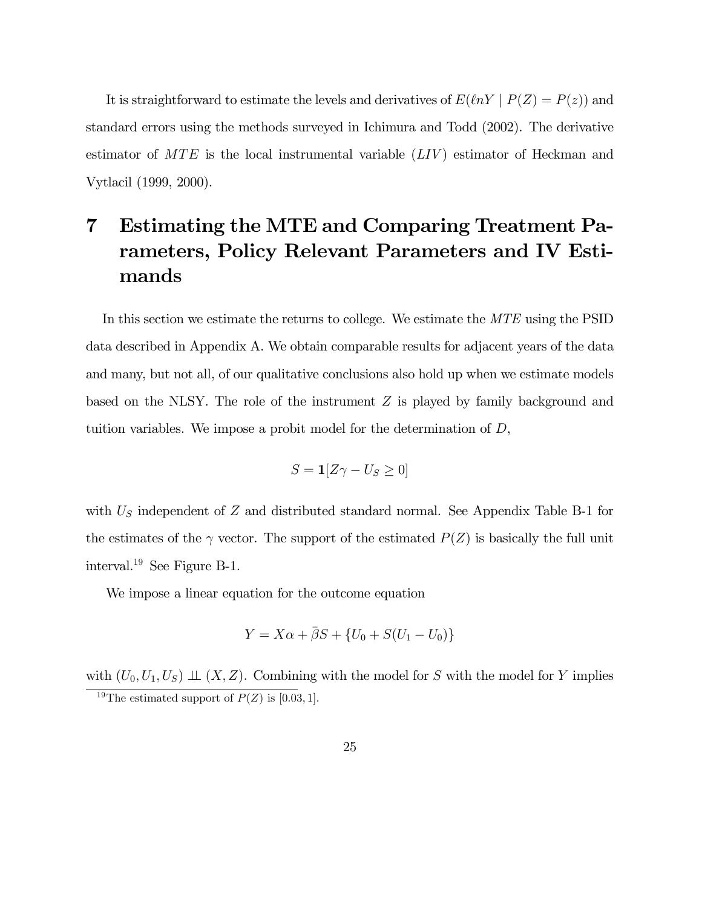It is straightforward to estimate the levels and derivatives of  $E(\ln Y | P(Z) = P(z))$  and standard errors using the methods surveyed in Ichimura and Todd (2002). The derivative estimator of  $MTE$  is the local instrumental variable  $(LIV)$  estimator of Heckman and Vytlacil (1999, 2000).

# 7 Estimating the MTE and Comparing Treatment Parameters, Policy Relevant Parameters and IV Estimands

In this section we estimate the returns to college. We estimate the *MTE* using the PSID data described in Appendix A. We obtain comparable results for adjacent years of the data and many, but not all, of our qualitative conclusions also hold up when we estimate models based on the NLSY. The role of the instrument Z is played by family background and tuition variables. We impose a probit model for the determination of D,

$$
S = \mathbf{1}[Z\gamma - U_S \ge 0]
$$

with  $U<sub>S</sub>$  independent of  $Z$  and distributed standard normal. See Appendix Table B-1 for the estimates of the  $\gamma$  vector. The support of the estimated  $P(Z)$  is basically the full unit interval.19 See Figure B-1.

We impose a linear equation for the outcome equation

$$
Y = X\alpha + \bar{\beta}S + \{U_0 + S(U_1 - U_0)\}
$$

with  $(U_0, U_1, U_S) \perp \!\!\! \perp (X, Z)$ . Combining with the model for S with the model for Y implies

<sup>&</sup>lt;sup>19</sup>The estimated support of  $P(Z)$  is [0.03, 1].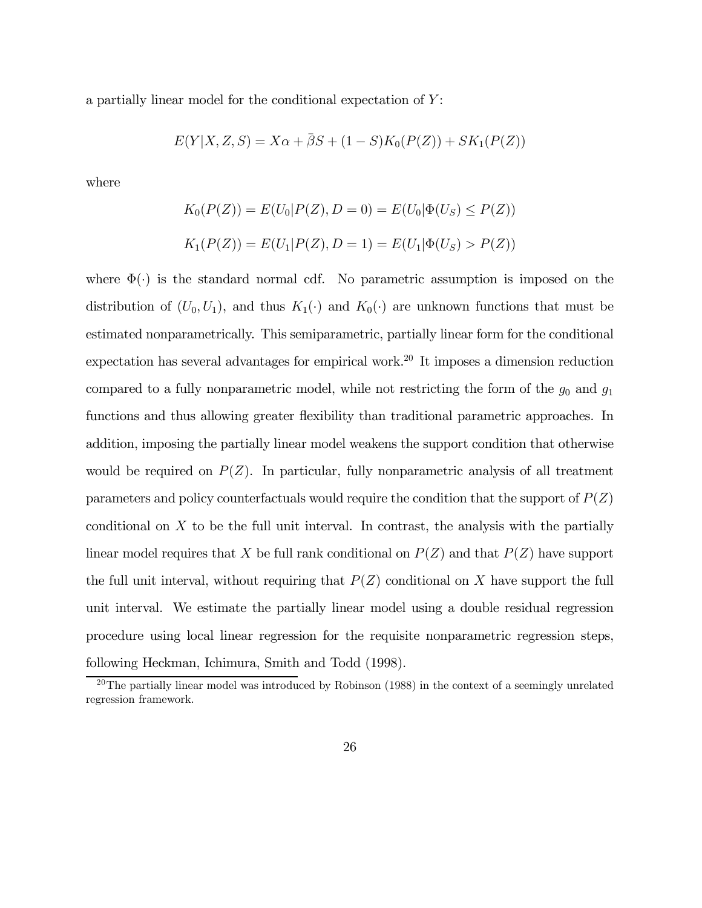a partially linear model for the conditional expectation of Y:

$$
E(Y|X, Z, S) = X\alpha + \bar{\beta}S + (1 - S)K_0(P(Z)) + SK_1(P(Z))
$$

where

$$
K_0(P(Z)) = E(U_0|P(Z), D = 0) = E(U_0|\Phi(U_S) \le P(Z))
$$
  

$$
K_1(P(Z)) = E(U_1|P(Z), D = 1) = E(U_1|\Phi(U_S) > P(Z))
$$

where  $\Phi(\cdot)$  is the standard normal cdf. No parametric assumption is imposed on the distribution of  $(U_0, U_1)$ , and thus  $K_1(\cdot)$  and  $K_0(\cdot)$  are unknown functions that must be estimated nonparametrically. This semiparametric, partially linear form for the conditional expectation has several advantages for empirical work.<sup>20</sup> It imposes a dimension reduction compared to a fully nonparametric model, while not restricting the form of the  $g_0$  and  $g_1$ functions and thus allowing greater flexibility than traditional parametric approaches. In addition, imposing the partially linear model weakens the support condition that otherwise would be required on  $P(Z)$ . In particular, fully nonparametric analysis of all treatment parameters and policy counterfactuals would require the condition that the support of  $P(Z)$ conditional on  $X$  to be the full unit interval. In contrast, the analysis with the partially linear model requires that X be full rank conditional on  $P(Z)$  and that  $P(Z)$  have support the full unit interval, without requiring that  $P(Z)$  conditional on X have support the full unit interval. We estimate the partially linear model using a double residual regression procedure using local linear regression for the requisite nonparametric regression steps, following Heckman, Ichimura, Smith and Todd (1998).

<sup>&</sup>lt;sup>20</sup>The partially linear model was introduced by Robinson  $(1988)$  in the context of a seemingly unrelated regression framework.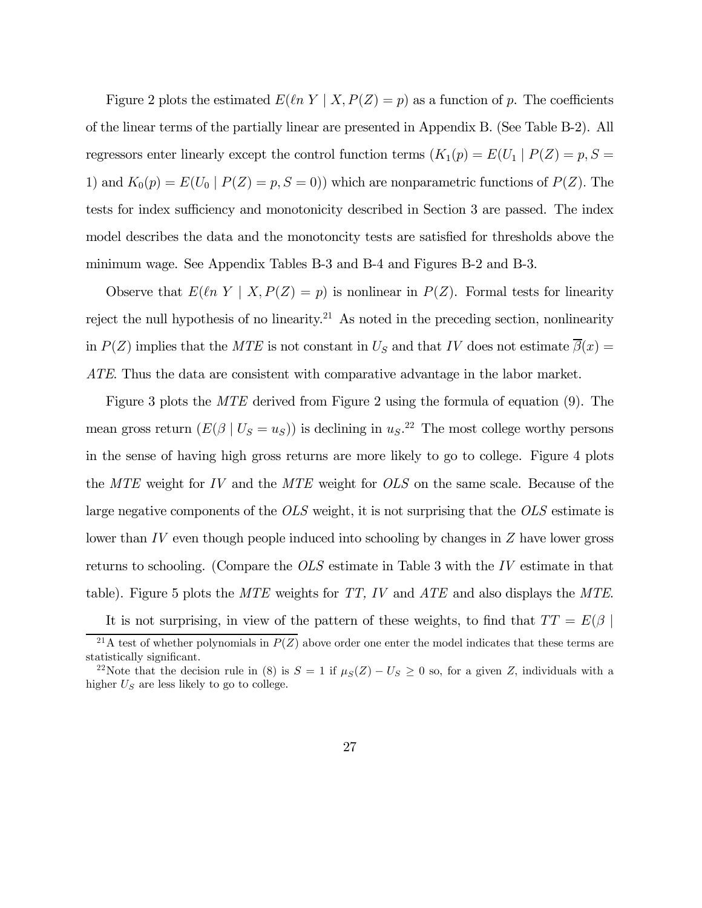Figure 2 plots the estimated  $E(\ln Y | X, P(Z) = p)$  as a function of p. The coefficients of the linear terms of the partially linear are presented in Appendix B. (See Table B-2). All regressors enter linearly except the control function terms  $(K_1(p) = E(U_1 | P(Z) = p, S =$ 1) and  $K_0(p) = E(U_0 | P(Z) = p, S = 0)$  which are nonparametric functions of  $P(Z)$ . The tests for index sufficiency and monotonicity described in Section 3 are passed. The index model describes the data and the monotoncity tests are satisfied for thresholds above the minimum wage. See Appendix Tables B-3 and B-4 and Figures B-2 and B-3.

Observe that  $E(\ln Y | X, P(Z) = p)$  is nonlinear in  $P(Z)$ . Formal tests for linearity reject the null hypothesis of no linearity.<sup>21</sup> As noted in the preceding section, nonlinearity in  $P(Z)$  implies that the MTE is not constant in  $U_S$  and that IV does not estimate  $\overline{\beta}(x) =$ ATE. Thus the data are consistent with comparative advantage in the labor market.

Figure 3 plots the MTE derived from Figure 2 using the formula of equation (9). The mean gross return  $(E(\beta | U_S = u_S))$  is declining in  $u_S$ .<sup>22</sup> The most college worthy persons in the sense of having high gross returns are more likely to go to college. Figure 4 plots the MTE weight for IV and the MTE weight for OLS on the same scale. Because of the large negative components of the OLS weight, it is not surprising that the OLS estimate is lower than IV even though people induced into schooling by changes in Z have lower gross returns to schooling. (Compare the OLS estimate in Table 3 with the IV estimate in that table). Figure 5 plots the MTE weights for TT, IV and ATE and also displays the MTE.

It is not surprising, in view of the pattern of these weights, to find that  $TT = E(\beta \mid$ 

<sup>&</sup>lt;sup>21</sup>A test of whether polynomials in  $P(Z)$  above order one enter the model indicates that these terms are statistically significant.

<sup>&</sup>lt;sup>22</sup>Note that the decision rule in (8) is  $S = 1$  if  $\mu_S(Z) - U_S \ge 0$  so, for a given Z, individuals with a higher  $U<sub>S</sub>$  are less likely to go to college.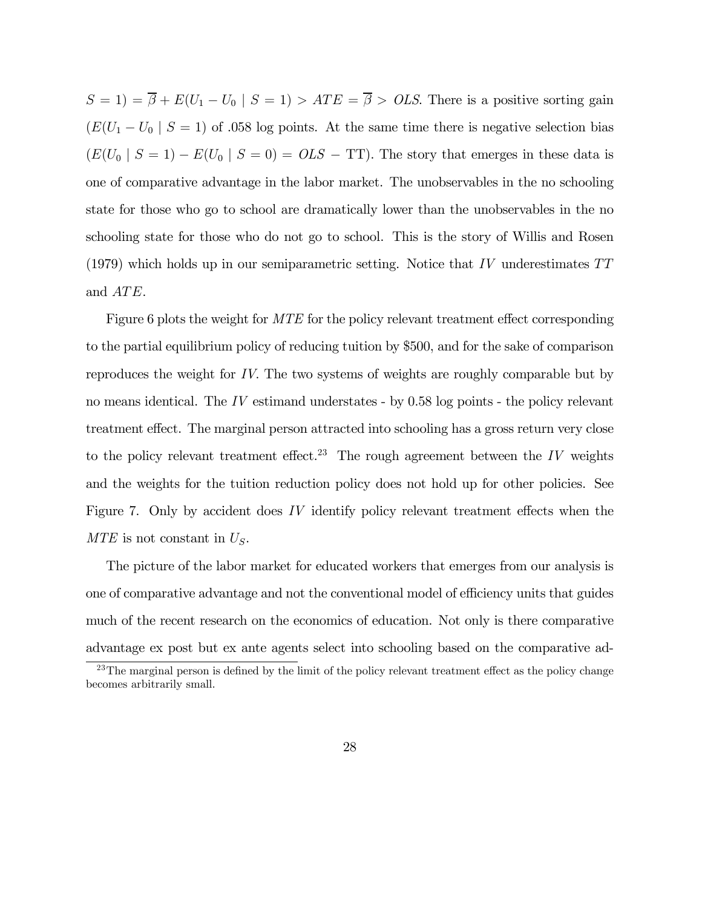$S = 1$ ) =  $\overline{\beta} + E(U_1 - U_0 \mid S = 1) > ATE = \overline{\beta} > OLS$ . There is a positive sorting gain  $(E(U_1 - U_0 \mid S = 1))$  of .058 log points. At the same time there is negative selection bias  $(E(U_0 | S = 1) - E(U_0 | S = 0) = OLS - TT)$ . The story that emerges in these data is one of comparative advantage in the labor market. The unobservables in the no schooling state for those who go to school are dramatically lower than the unobservables in the no schooling state for those who do not go to school. This is the story of Willis and Rosen (1979) which holds up in our semiparametric setting. Notice that IV underestimates  $TT$ and  $ATE$ .

Figure 6 plots the weight for MTE for the policy relevant treatment effect corresponding to the partial equilibrium policy of reducing tuition by \$500, and for the sake of comparison reproduces the weight for IV. The two systems of weights are roughly comparable but by no means identical. The IV estimand understates - by 0.58 log points - the policy relevant treatment effect. The marginal person attracted into schooling has a gross return very close to the policy relevant treatment effect.<sup>23</sup> The rough agreement between the IV weights and the weights for the tuition reduction policy does not hold up for other policies. See Figure 7. Only by accident does IV identify policy relevant treatment effects when the  $MTE$  is not constant in  $U<sub>S</sub>$ .

The picture of the labor market for educated workers that emerges from our analysis is one of comparative advantage and not the conventional model of efficiency units that guides much of the recent research on the economics of education. Not only is there comparative advantage ex post but ex ante agents select into schooling based on the comparative ad-

 $23$ The marginal person is defined by the limit of the policy relevant treatment effect as the policy change becomes arbitrarily small.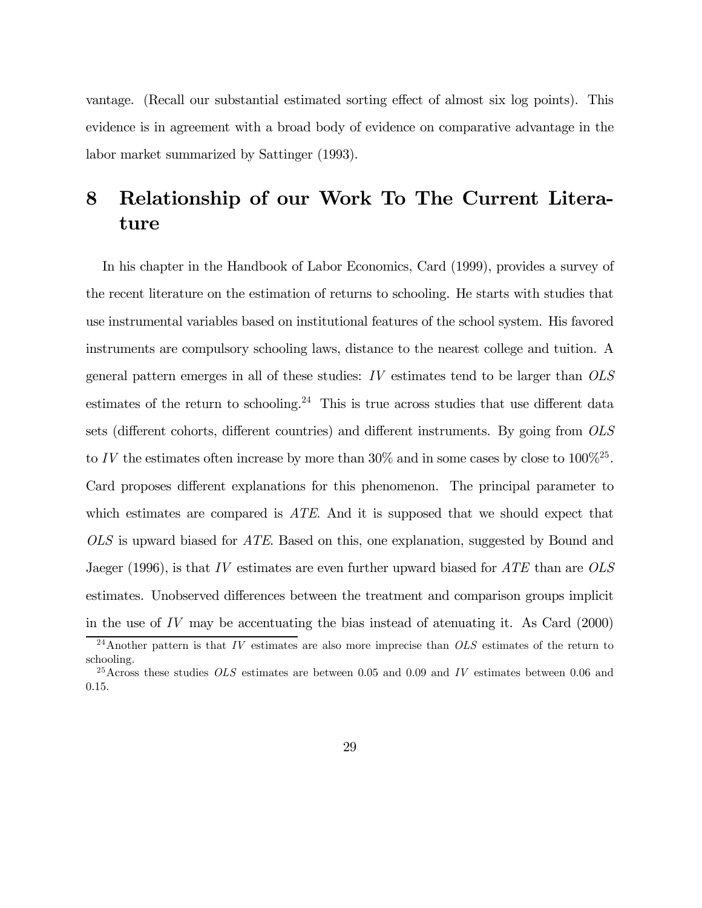vantage. (Recall our substantial estimated sorting effect of almost six log points). This evidence is in agreement with a broad body of evidence on comparative advantage in the labor market summarized by Sattinger (1993).

# 8 Relationship of our Work To The Current Literature

In his chapter in the Handbook of Labor Economics, Card (1999), provides a survey of the recent literature on the estimation of returns to schooling. He starts with studies that use instrumental variables based on institutional features of the school system. His favored instruments are compulsory schooling laws, distance to the nearest college and tuition. A general pattern emerges in all of these studies: IV estimates tend to be larger than OLS estimates of the return to schooling.<sup>24</sup> This is true across studies that use different data sets (different cohorts, different countries) and different instruments. By going from OLS to IV the estimates often increase by more than  $30\%$  and in some cases by close to  $100\%^{25}$ . Card proposes different explanations for this phenomenon. The principal parameter to which estimates are compared is  $ATE$ . And it is supposed that we should expect that OLS is upward biased for ATE. Based on this, one explanation, suggested by Bound and Jaeger (1996), is that IV estimates are even further upward biased for  $ATE$  than are  $OLS$ estimates. Unobserved differences between the treatment and comparison groups implicit in the use of  $IV$  may be accentuating the bias instead of atenuating it. As Card  $(2000)$ 

 $24$ Another pattern is that IV estimates are also more imprecise than  $OLS$  estimates of the return to schooling.

<sup>&</sup>lt;sup>25</sup> Across these studies *OLS* estimates are between 0.05 and 0.09 and IV estimates between 0.06 and 0.15.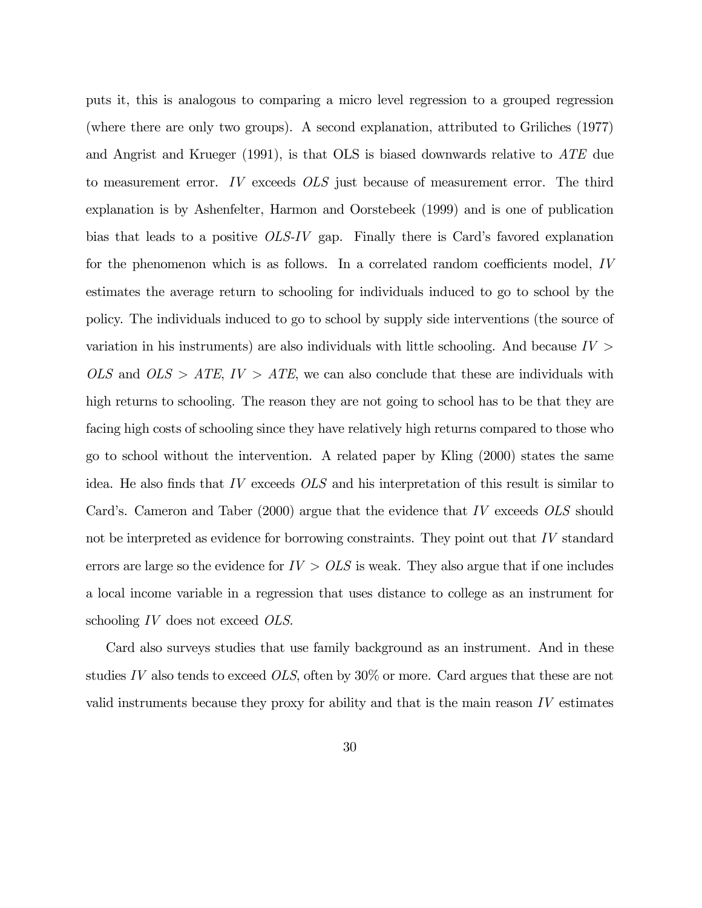puts it, this is analogous to comparing a micro level regression to a grouped regression (where there are only two groups). A second explanation, attributed to Griliches (1977) and Angrist and Krueger (1991), is that OLS is biased downwards relative to ATE due to measurement error. IV exceeds OLS just because of measurement error. The third explanation is by Ashenfelter, Harmon and Oorstebeek (1999) and is one of publication bias that leads to a positive  $OLS$ -IV gap. Finally there is Card's favored explanation for the phenomenon which is as follows. In a correlated random coefficients model, IV estimates the average return to schooling for individuals induced to go to school by the policy. The individuals induced to go to school by supply side interventions (the source of variation in his instruments) are also individuals with little schooling. And because  $IV >$ OLS and  $OLS > ATE$ ,  $IV > ATE$ , we can also conclude that these are individuals with high returns to schooling. The reason they are not going to school has to be that they are facing high costs of schooling since they have relatively high returns compared to those who go to school without the intervention. A related paper by Kling (2000) states the same idea. He also finds that IV exceeds OLS and his interpretation of this result is similar to Card's. Cameron and Taber (2000) argue that the evidence that IV exceeds OLS should not be interpreted as evidence for borrowing constraints. They point out that IV standard errors are large so the evidence for  $IV > OLS$  is weak. They also argue that if one includes a local income variable in a regression that uses distance to college as an instrument for schooling IV does not exceed OLS.

Card also surveys studies that use family background as an instrument. And in these studies IV also tends to exceed OLS, often by 30% or more. Card argues that these are not valid instruments because they proxy for ability and that is the main reason IV estimates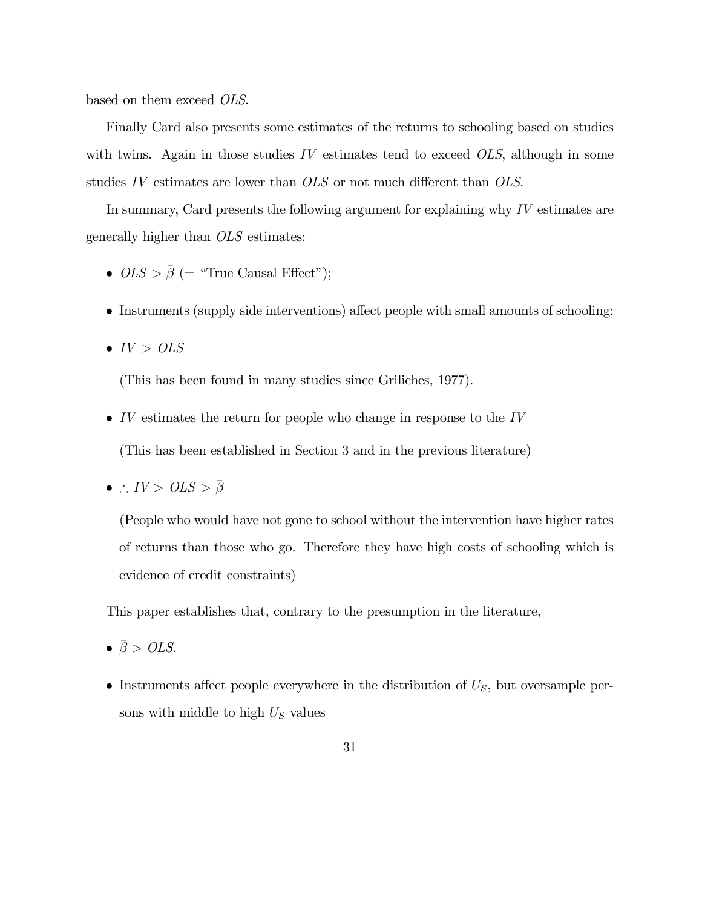based on them exceed OLS.

Finally Card also presents some estimates of the returns to schooling based on studies with twins. Again in those studies  $IV$  estimates tend to exceed  $OLS$ , although in some studies IV estimates are lower than OLS or not much different than OLS.

In summary, Card presents the following argument for explaining why IV estimates are generally higher than OLS estimates:

- $OLS > \bar{\beta}$  (= "True Causal Effect");
- Instruments (supply side interventions) affect people with small amounts of schooling;
- $IV > OLS$

(This has been found in many studies since Griliches, 1977).

- $\bullet$   $\;IV$  estimates the return for people who change in response to the  $IV$ (This has been established in Section 3 and in the previous literature)
- $\therefore IV > OLS > \bar{\beta}$

(People who would have not gone to school without the intervention have higher rates of returns than those who go. Therefore they have high costs of schooling which is evidence of credit constraints)

This paper establishes that, contrary to the presumption in the literature,

- $\bar{\beta} > OLS$ .
- Instruments affect people everywhere in the distribution of  $U_s$ , but oversample persons with middle to high  $U<sub>S</sub>$  values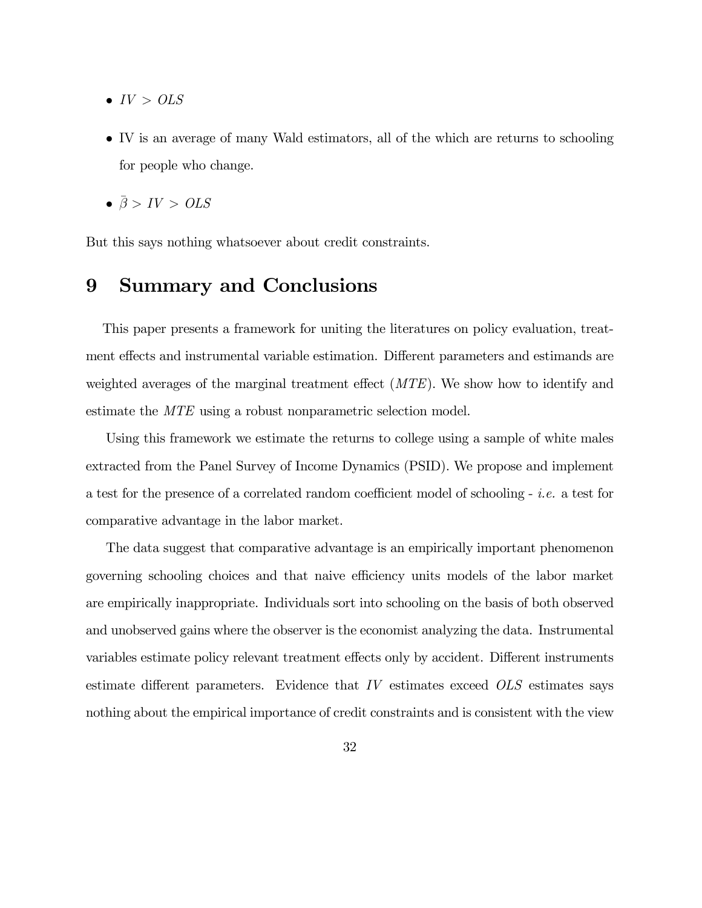- $IV > OLS$
- IV is an average of many Wald estimators, all of the which are returns to schooling for people who change.
- $\bar{\beta}$  > IV > OLS

But this says nothing whatsoever about credit constraints.

# 9 Summary and Conclusions

This paper presents a framework for uniting the literatures on policy evaluation, treatment effects and instrumental variable estimation. Different parameters and estimands are weighted averages of the marginal treatment effect (MTE). We show how to identify and estimate the MTE using a robust nonparametric selection model.

Using this framework we estimate the returns to college using a sample of white males extracted from the Panel Survey of Income Dynamics (PSID). We propose and implement a test for the presence of a correlated random coefficient model of schooling - i.e. a test for comparative advantage in the labor market.

The data suggest that comparative advantage is an empirically important phenomenon governing schooling choices and that naive efficiency units models of the labor market are empirically inappropriate. Individuals sort into schooling on the basis of both observed and unobserved gains where the observer is the economist analyzing the data. Instrumental variables estimate policy relevant treatment effects only by accident. Different instruments estimate different parameters. Evidence that  $IV$  estimates exceed  $OLS$  estimates says nothing about the empirical importance of credit constraints and is consistent with the view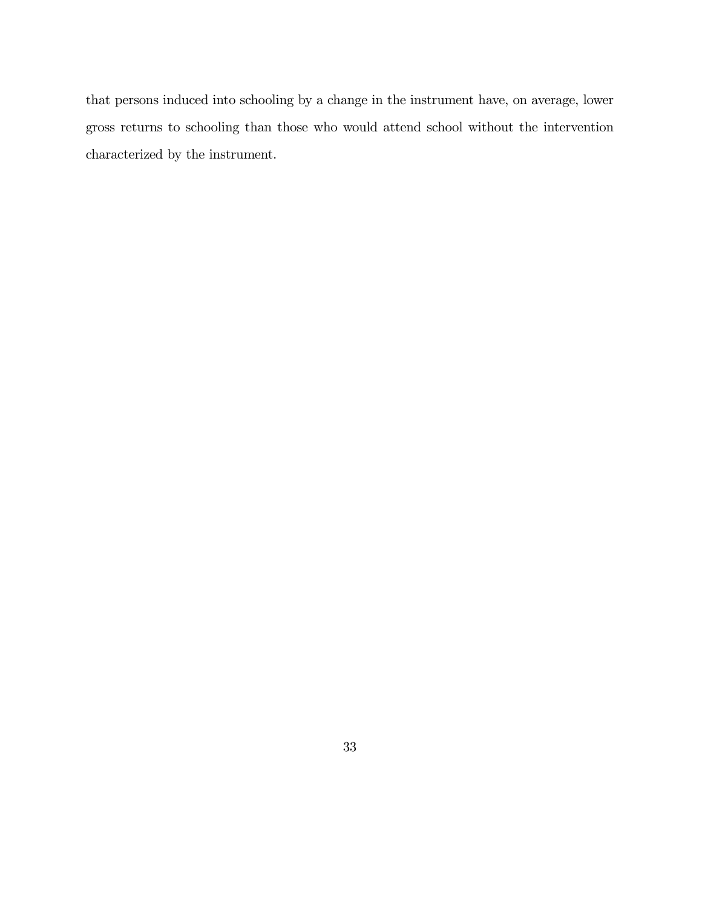that persons induced into schooling by a change in the instrument have, on average, lower gross returns to schooling than those who would attend school without the intervention characterized by the instrument.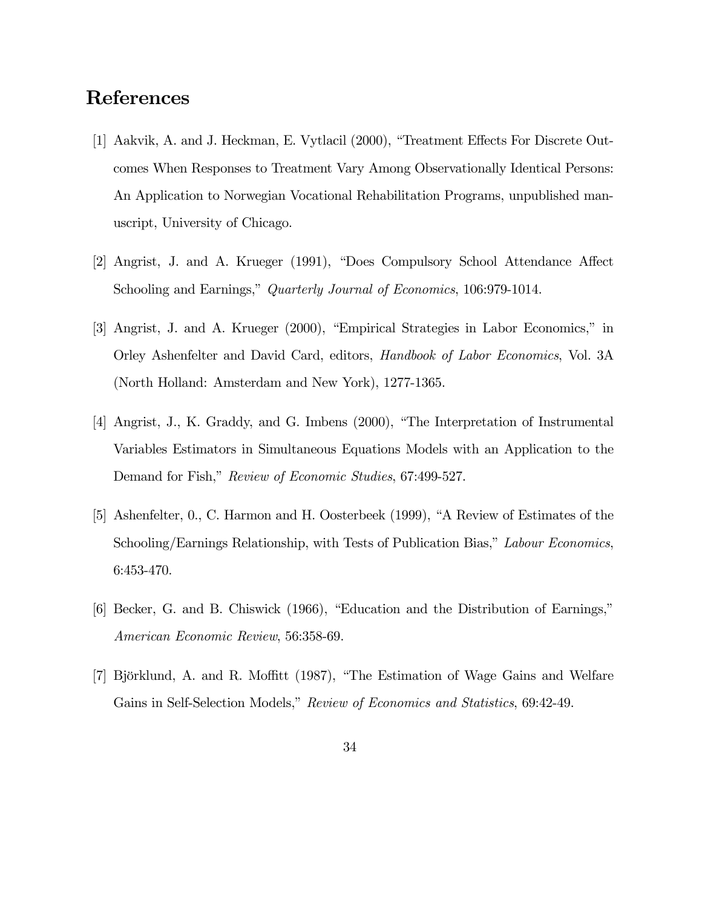# References

- [1] Aakvik, A. and J. Heckman, E. Vytlacil (2000), "Treatment Effects For Discrete Outcomes When Responses to Treatment Vary Among Observationally Identical Persons: An Application to Norwegian Vocational Rehabilitation Programs, unpublished manuscript, University of Chicago.
- [2] Angrist, J. and A. Krueger (1991), "Does Compulsory School Attendance Affect Schooling and Earnings," Quarterly Journal of Economics, 106:979-1014.
- [3] Angrist, J. and A. Krueger (2000), "Empirical Strategies in Labor Economics," in Orley Ashenfelter and David Card, editors, Handbook of Labor Economics, Vol. 3A (North Holland: Amsterdam and New York), 1277-1365.
- [4] Angrist, J., K. Graddy, and G. Imbens (2000), "The Interpretation of Instrumental Variables Estimators in Simultaneous Equations Models with an Application to the Demand for Fish," Review of Economic Studies, 67:499-527.
- [5] Ashenfelter, 0., C. Harmon and H. Oosterbeek (1999), "A Review of Estimates of the Schooling/Earnings Relationship, with Tests of Publication Bias," Labour Economics, 6:453-470.
- [6] Becker, G. and B. Chiswick (1966), "Education and the Distribution of Earnings," American Economic Review, 56:358-69.
- [7] Björklund, A. and R. Moffitt (1987), "The Estimation of Wage Gains and Welfare Gains in Self-Selection Models," Review of Economics and Statistics, 69:42-49.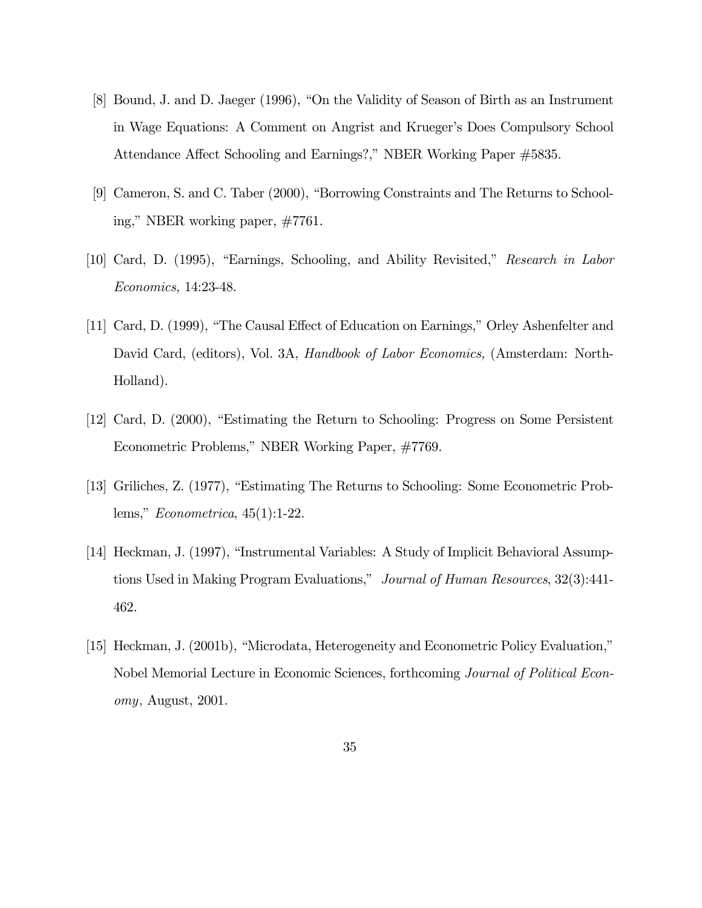- [8] Bound, J. and D. Jaeger (1996), "On the Validity of Season of Birth as an Instrument in Wage Equations: A Comment on Angrist and Krueger's Does Compulsory School Attendance Affect Schooling and Earnings?," NBER Working Paper #5835.
- [9] Cameron, S. and C. Taber (2000), "Borrowing Constraints and The Returns to Schooling," NBER working paper, #7761.
- [10] Card, D. (1995), "Earnings, Schooling, and Ability Revisited," Research in Labor Economics, 14:23-48.
- [11] Card, D. (1999), "The Causal Effect of Education on Earnings," Orley Ashenfelter and David Card, (editors), Vol. 3A, *Handbook of Labor Economics*, (Amsterdam: North-Holland).
- [12] Card, D. (2000), "Estimating the Return to Schooling: Progress on Some Persistent Econometric Problems," NBER Working Paper, #7769.
- [13] Griliches, Z. (1977), "Estimating The Returns to Schooling: Some Econometric Problems," Econometrica, 45(1):1-22.
- [14] Heckman, J. (1997), "Instrumental Variables: A Study of Implicit Behavioral Assumptions Used in Making Program Evaluations," Journal of Human Resources, 32(3):441-462.
- [15] Heckman, J. (2001b), "Microdata, Heterogeneity and Econometric Policy Evaluation," Nobel Memorial Lecture in Economic Sciences, forthcoming Journal of Political Economy, August, 2001.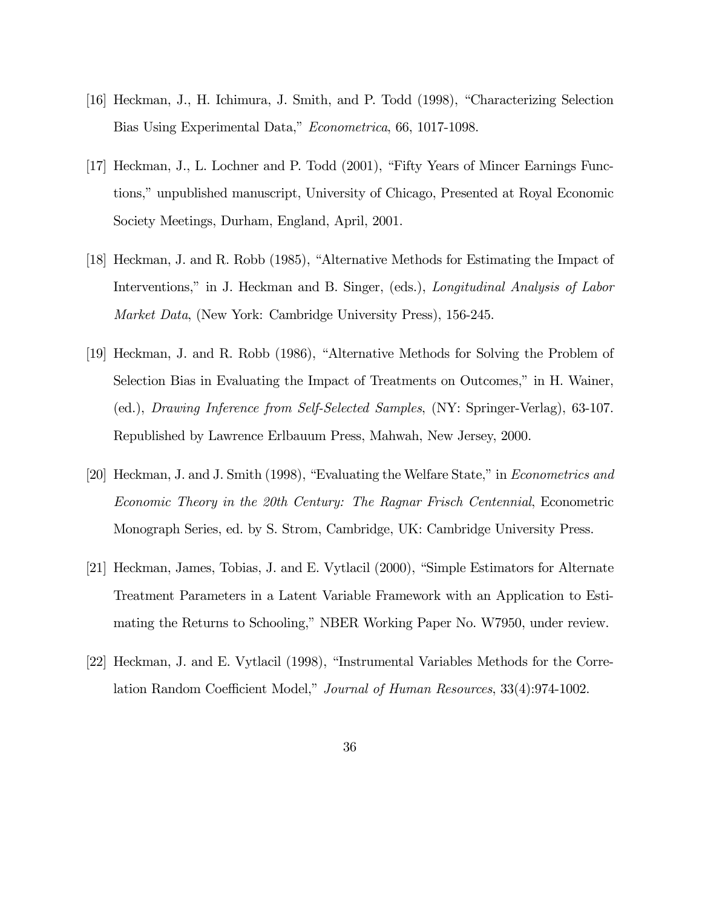- [16] Heckman, J., H. Ichimura, J. Smith, and P. Todd (1998), "Characterizing Selection Bias Using Experimental Data," Econometrica, 66, 1017-1098.
- [17] Heckman, J., L. Lochner and P. Todd (2001), "Fifty Years of Mincer Earnings Functions," unpublished manuscript, University of Chicago, Presented at Royal Economic Society Meetings, Durham, England, April, 2001.
- [18] Heckman, J. and R. Robb (1985), "Alternative Methods for Estimating the Impact of Interventions," in J. Heckman and B. Singer, (eds.), Longitudinal Analysis of Labor Market Data, (New York: Cambridge University Press), 156-245.
- [19] Heckman, J. and R. Robb (1986), "Alternative Methods for Solving the Problem of Selection Bias in Evaluating the Impact of Treatments on Outcomes," in H. Wainer, (ed.), Drawing Inference from Self-Selected Samples, (NY: Springer-Verlag), 63-107. Republished by Lawrence Erlbauum Press, Mahwah, New Jersey, 2000.
- [20] Heckman, J. and J. Smith (1998), "Evaluating the Welfare State," in Econometrics and Economic Theory in the 20th Century: The Ragnar Frisch Centennial, Econometric Monograph Series, ed. by S. Strom, Cambridge, UK: Cambridge University Press.
- [21] Heckman, James, Tobias, J. and E. Vytlacil (2000), "Simple Estimators for Alternate Treatment Parameters in a Latent Variable Framework with an Application to Estimating the Returns to Schooling," NBER Working Paper No. W7950, under review.
- [22] Heckman, J. and E. Vytlacil (1998), "Instrumental Variables Methods for the Correlation Random Coefficient Model," Journal of Human Resources, 33(4):974-1002.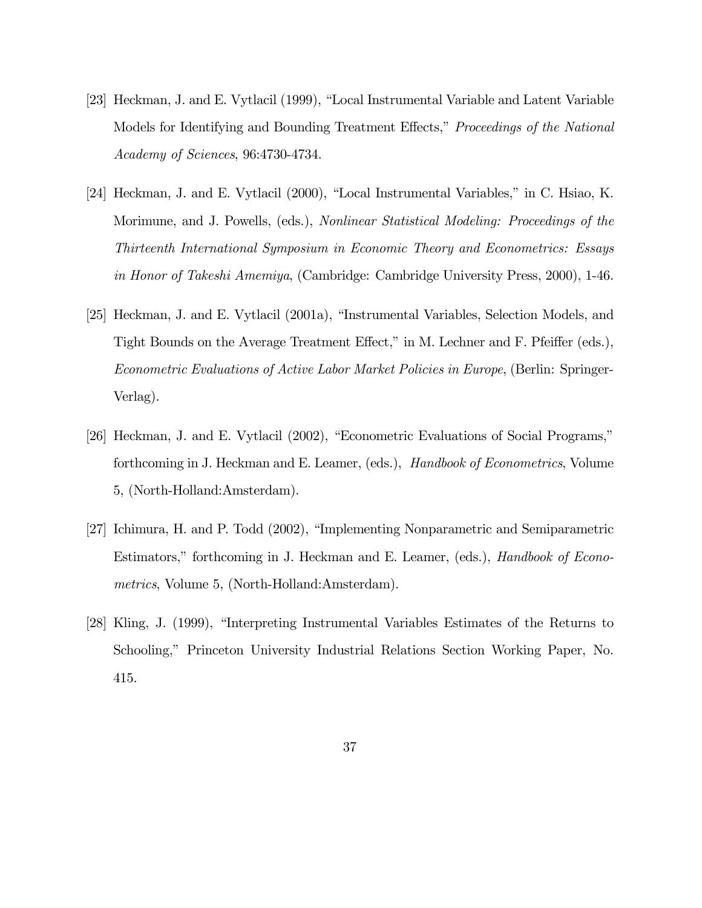- [23] Heckman, J. and E. Vytlacil (1999), "Local Instrumental Variable and Latent Variable Models for Identifying and Bounding Treatment Effects," Proceedings of the National Academy of Sciences, 96:4730-4734.
- [24] Heckman, J. and E. Vytlacil (2000), "Local Instrumental Variables," in C. Hsiao, K. Morimune, and J. Powells, (eds.), Nonlinear Statistical Modeling: Proceedings of the Thirteenth International Symposium in Economic Theory and Econometrics: Essays in Honor of Takeshi Amemiya, (Cambridge: Cambridge University Press, 2000), 1-46.
- [25] Heckman, J. and E. Vytlacil (2001a), "Instrumental Variables, Selection Models, and Tight Bounds on the Average Treatment Effect," in M. Lechner and F. Pfeiffer (eds.), Econometric Evaluations of Active Labor Market Policies in Europe, (Berlin: Springer-Verlag).
- [26] Heckman, J. and E. Vytlacil (2002), "Econometric Evaluations of Social Programs," forthcoming in J. Heckman and E. Leamer, (eds.), Handbook of Econometrics, Volume 5, (North-Holland:Amsterdam).
- [27] Ichimura, H. and P. Todd (2002), "Implementing Nonparametric and Semiparametric Estimators," forthcoming in J. Heckman and E. Leamer, (eds.), Handbook of Econometrics, Volume 5, (North-Holland:Amsterdam).
- [28] Kling, J. (1999), "Interpreting Instrumental Variables Estimates of the Returns to Schooling," Princeton University Industrial Relations Section Working Paper, No. 415.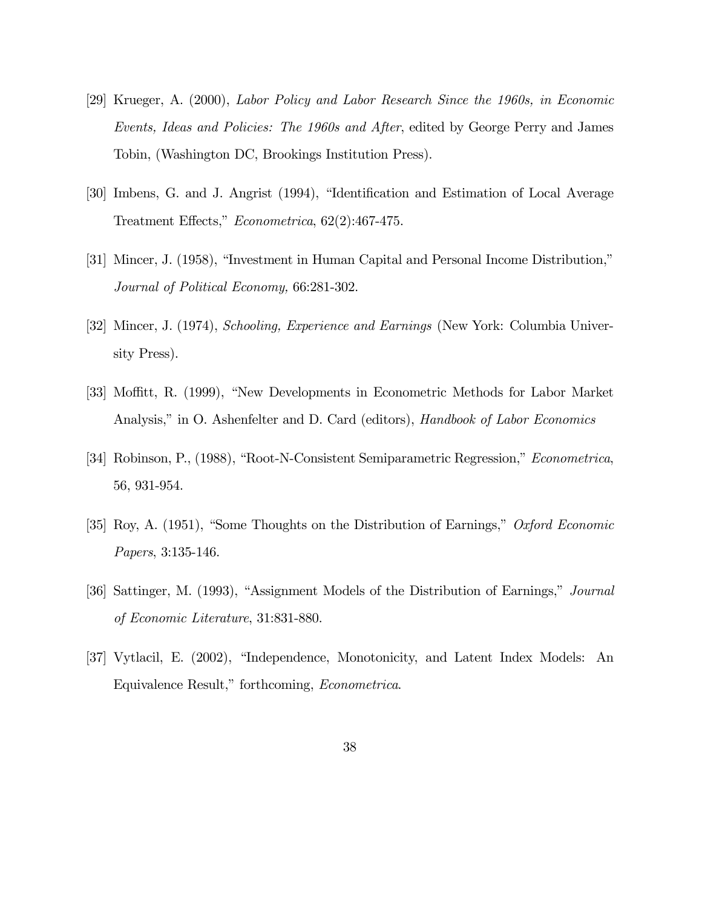- [29] Krueger, A. (2000), Labor Policy and Labor Research Since the 1960s, in Economic Events, Ideas and Policies: The 1960s and After, edited by George Perry and James Tobin, (Washington DC, Brookings Institution Press).
- [30] Imbens, G. and J. Angrist (1994), "Identification and Estimation of Local Average Treatment Effects," Econometrica, 62(2):467-475.
- [31] Mincer, J. (1958), "Investment in Human Capital and Personal Income Distribution," Journal of Political Economy, 66:281-302.
- [32] Mincer, J. (1974), Schooling, Experience and Earnings (New York: Columbia University Press).
- [33] Moffitt, R. (1999), "New Developments in Econometric Methods for Labor Market Analysis," in O. Ashenfelter and D. Card (editors), *Handbook of Labor Economics*
- [34] Robinson, P., (1988), "Root-N-Consistent Semiparametric Regression," Econometrica, 56, 931-954.
- [35] Roy, A. (1951), "Some Thoughts on the Distribution of Earnings," Oxford Economic Papers, 3:135-146.
- [36] Sattinger, M. (1993), "Assignment Models of the Distribution of Earnings," Journal of Economic Literature, 31:831-880.
- [37] Vytlacil, E. (2002), "Independence, Monotonicity, and Latent Index Models: An Equivalence Result," forthcoming, Econometrica.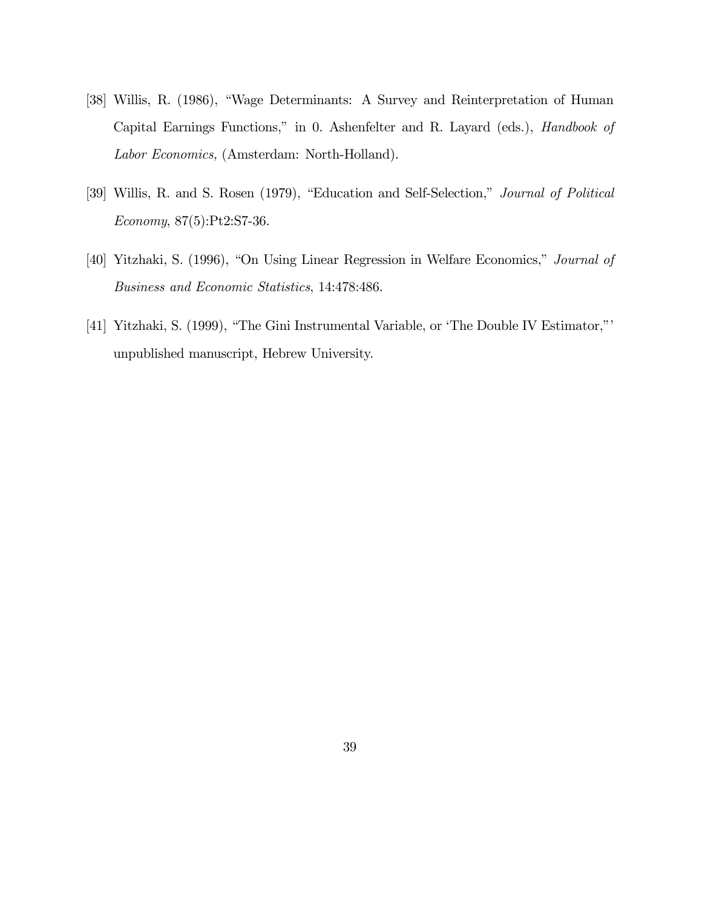- [38] Willis, R. (1986), "Wage Determinants: A Survey and Reinterpretation of Human Capital Earnings Functions," in 0. Ashenfelter and R. Layard (eds.), Handbook of Labor Economics, (Amsterdam: North-Holland).
- [39] Willis, R. and S. Rosen (1979), "Education and Self-Selection," Journal of Political Economy, 87(5):Pt2:S7-36.
- [40] Yitzhaki, S. (1996), "On Using Linear Regression in Welfare Economics," Journal of Business and Economic Statistics, 14:478:486.
- [41] Yitzhaki, S. (1999), "The Gini Instrumental Variable, or 'The Double IV Estimator,"' unpublished manuscript, Hebrew University.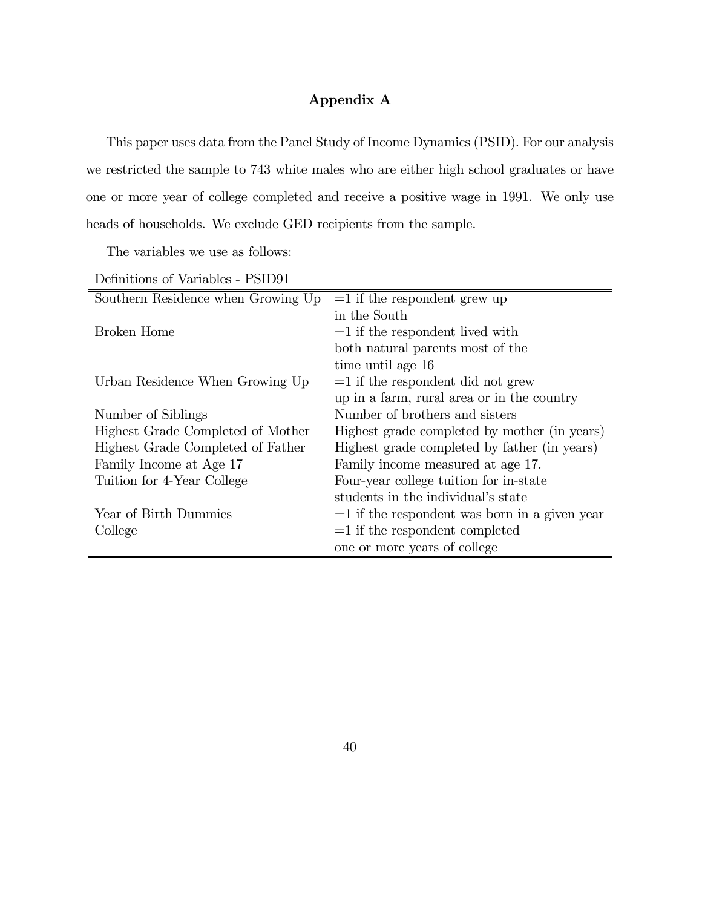#### Appendix A

This paper uses data from the Panel Study of Income Dynamics (PSID). For our analysis we restricted the sample to 743 white males who are either high school graduates or have one or more year of college completed and receive a positive wage in 1991. We only use heads of households. We exclude GED recipients from the sample.

The variables we use as follows:

| Definitions of variables - PSH291  |                                                 |
|------------------------------------|-------------------------------------------------|
| Southern Residence when Growing Up | $=1$ if the respondent grew up                  |
|                                    | in the South                                    |
| <b>Broken Home</b>                 | $=1$ if the respondent lived with               |
|                                    | both natural parents most of the                |
|                                    | time until age 16                               |
| Urban Residence When Growing Up    | $=1$ if the respondent did not grew             |
|                                    | up in a farm, rural area or in the country      |
| Number of Siblings                 | Number of brothers and sisters                  |
| Highest Grade Completed of Mother  | Highest grade completed by mother (in years)    |
| Highest Grade Completed of Father  | Highest grade completed by father (in years)    |
| Family Income at Age 17            | Family income measured at age 17.               |
| Tuition for 4-Year College         | Four-year college tuition for in-state          |
|                                    | students in the individual's state              |
| Year of Birth Dummies              | $=1$ if the respondent was born in a given year |
| College                            | $=1$ if the respondent completed                |
|                                    | one or more years of college                    |

Definitions of Variables - PSID91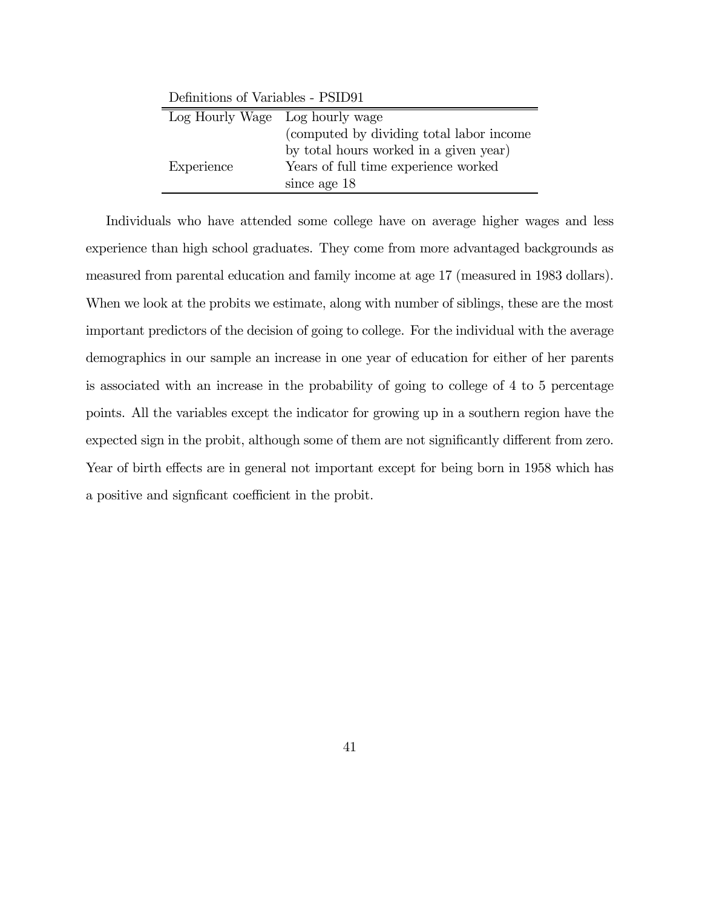| Definitions of variables - PSID91 |                                           |  |
|-----------------------------------|-------------------------------------------|--|
| Log Hourly Wage Log hourly wage   |                                           |  |
|                                   | (computed by dividing total labor income) |  |
|                                   | by total hours worked in a given year)    |  |
| Experience                        | Years of full time experience worked      |  |
|                                   | since age 18                              |  |

Definitions of Variables - PSID91

Individuals who have attended some college have on average higher wages and less experience than high school graduates. They come from more advantaged backgrounds as measured from parental education and family income at age 17 (measured in 1983 dollars). When we look at the probits we estimate, along with number of siblings, these are the most important predictors of the decision of going to college. For the individual with the average demographics in our sample an increase in one year of education for either of her parents is associated with an increase in the probability of going to college of 4 to 5 percentage points. All the variables except the indicator for growing up in a southern region have the expected sign in the probit, although some of them are not significantly different from zero. Year of birth effects are in general not important except for being born in 1958 which has a positive and signficant coefficient in the probit.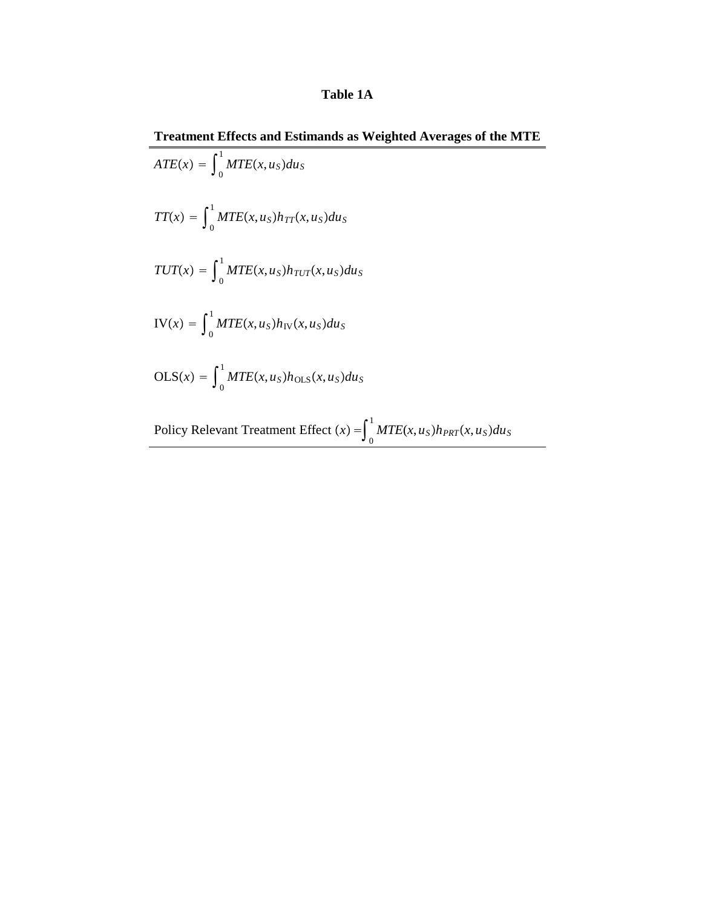#### **Table 1A**

#### **Treatment Effects and Estimands as Weighted Averages of the MTE**  $\frac{1}{\sqrt{1}}$

$$
ATE(x) = \int_0^1 MTE(x, u_s) du_s
$$
  
\n
$$
TT(x) = \int_0^1 MTE(x, u_s) h_{TT}(x, u_s) du_s
$$
  
\n
$$
TUT(x) = \int_0^1 MTE(x, u_s) h_{TUT}(x, u_s) du_s
$$
  
\n
$$
IV(x) = \int_0^1 MTE(x, u_s) h_{IV}(x, u_s) du_s
$$
  
\n
$$
OLS(x) = \int_0^1 MTE(x, u_s) h_{OLS}(x, u_s) du_s
$$
  
\n
$$
Policy Relevant Treatment Effect(x) = \int_0^1 MTE(x, u_s) h_{PRT}(x, u_s) du_s
$$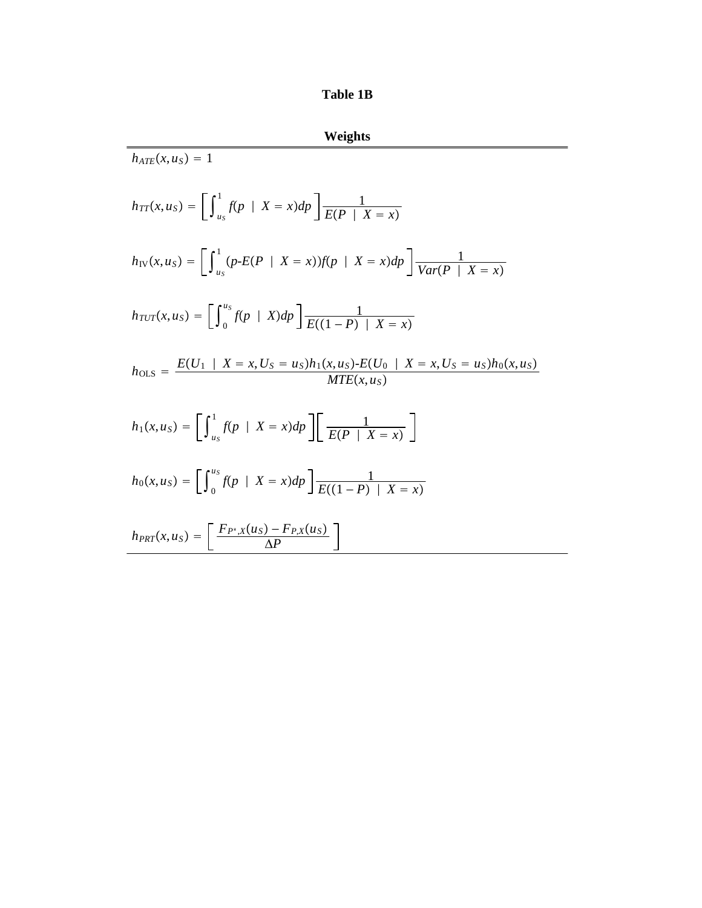| <b>Weights</b>                                                                                                             |
|----------------------------------------------------------------------------------------------------------------------------|
| $h_{ATE}(x, u_S) = 1$                                                                                                      |
| $h_{TT}(x,u_S) = \frac{\int_0^1 f(p \mid X = x) dp}{\int_0^1 f(p \mid X = x)}$                                             |
| $h_{\text{IV}}(x, u_S) = \left[ \int_{u_S}^{1} (p-E(P \mid X = x)) f(p \mid X = x) dp \right] \frac{1}{Var(P \mid X = x)}$ |
| $h_{TUT}(x,u_S) = \int_{0}^{u_S} f(p   X) dp \left[ \frac{1}{F((1-P)   X=x)} \right]$                                      |
| $h_{\text{OLS}} = \frac{E(U_1 \mid X = x, U_S = u_S)h_1(x, u_S) - E(U_0 \mid X = x, U_S = u_S)h_0(x, u_S)}{MTE(x, u_S)}$   |
| $h_1(x, u_S) = \left  \int_{u_S}^{1} f(p   X = x) dp \right  \left  \frac{1}{F(P   X = x)} \right $                        |
| $h_0(x, u_s) = \left  \int_0^{u_s} f(p \mid X = x) dp \right  \frac{1}{E((1 - P) \mid X = x)}$                             |
| $h_{PRT}(x,u_S) = \frac{F_{P^*,X}(u_S) - F_{P,X}(u_S)}{\Delta P}$                                                          |
|                                                                                                                            |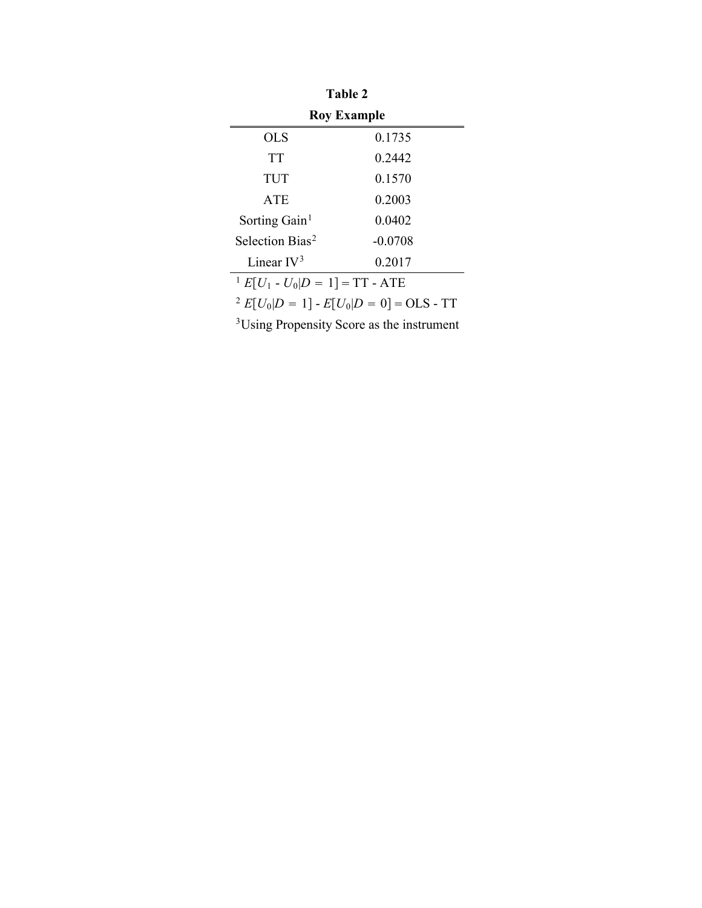| Table 2                                                 |         |  |
|---------------------------------------------------------|---------|--|
| <b>Roy Example</b>                                      |         |  |
| OLS                                                     | 0.1735  |  |
| TT                                                      | 0 2442  |  |
| TUT                                                     | 0.1570  |  |
| <b>ATE</b>                                              | 0.2003  |  |
| Sorting Gain <sup>1</sup>                               | 0.0402  |  |
| Selection Bias <sup>2</sup>                             | -0.0708 |  |
| Linear $IV3$                                            | 0.2017  |  |
| $E[U_1 - U_0]D = 1$ = TT - ATE                          |         |  |
| <sup>2</sup> $E[U_0 D = 1]$ - $E[U_0 D = 0]$ = OLS - TT |         |  |

3Using Propensity Score as the instrument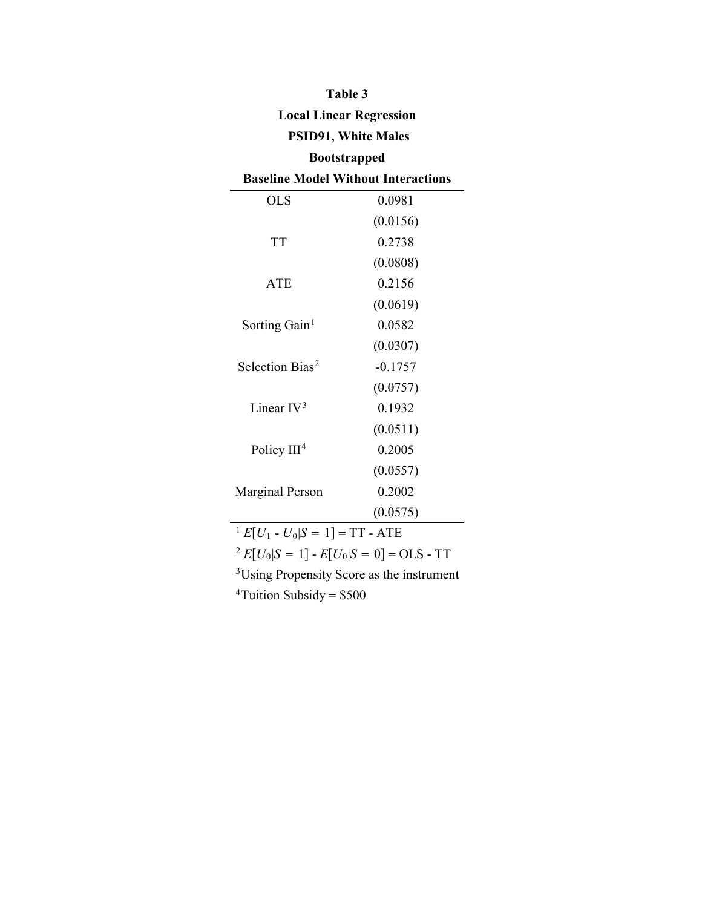| <b>Local Linear Regression</b>                          |           |
|---------------------------------------------------------|-----------|
| <b>PSID91, White Males</b>                              |           |
| <b>Bootstrapped</b>                                     |           |
| <b>Baseline Model Without Interactions</b>              |           |
| OLS                                                     | 0.0981    |
|                                                         | (0.0156)  |
| <b>TT</b>                                               | 0.2738    |
|                                                         | (0.0808)  |
| <b>ATE</b>                                              | 0.2156    |
|                                                         | (0.0619)  |
| Sorting Gain <sup>1</sup>                               | 0.0582    |
|                                                         | (0.0307)  |
| Selection Bias <sup>2</sup>                             | $-0.1757$ |
|                                                         | (0.0757)  |
| Linear $IV3$                                            | 0.1932    |
|                                                         | (0.0511)  |
| Policy $III4$                                           | 0.2005    |
|                                                         | (0.0557)  |
| <b>Marginal Person</b>                                  | 0.2002    |
|                                                         | (0.0575)  |
| $E[U_1 - U_0 S = 1] = TT - ATE$                         |           |
| <sup>2</sup> $E[U_0 S = 1]$ - $E[U_0 S = 0]$ = OLS - TT |           |

**Table 3**

| <sup>3</sup> Using Propensity Score as the instrument |
|-------------------------------------------------------|
|-------------------------------------------------------|

<sup>4</sup>Tuition Subsidy =  $$500$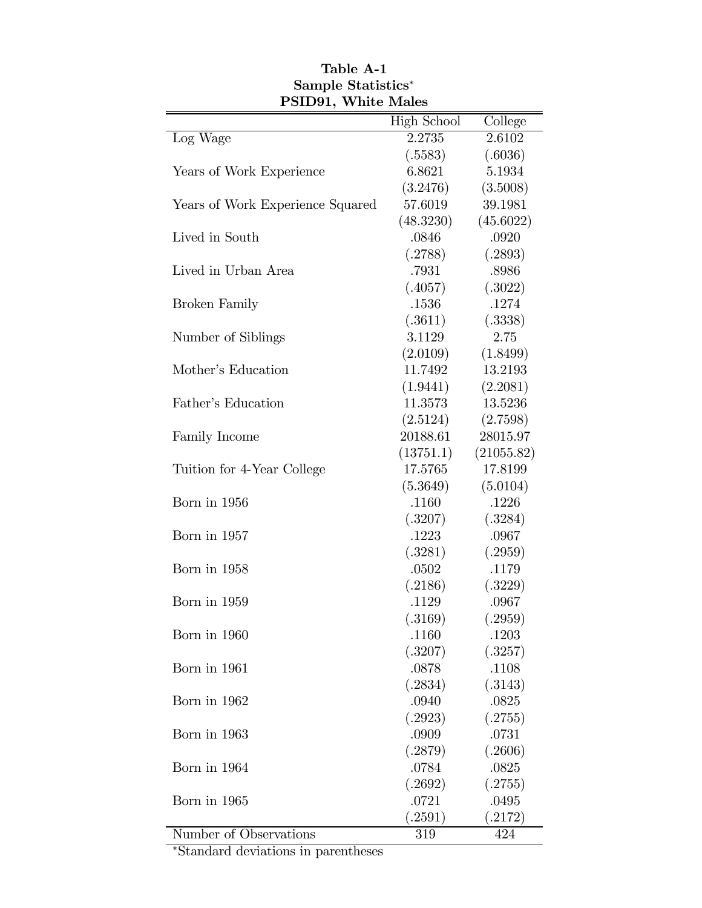| PSID91, White Males              |                    |            |
|----------------------------------|--------------------|------------|
|                                  | <b>High School</b> | College    |
| Log Wage                         | 2.2735             | 2.6102     |
|                                  | (.5583)            | (.6036)    |
| Years of Work Experience         | 6.8621             | 5.1934     |
|                                  | (3.2476)           | (3.5008)   |
| Years of Work Experience Squared | 57.6019            | 39.1981    |
|                                  | (48.3230)          | (45.6022)  |
| Lived in South                   | .0846              | .0920      |
|                                  | (.2788)            | (.2893)    |
| Lived in Urban Area              | .7931              | .8986      |
|                                  | (.4057)            | (.3022)    |
| <b>Broken Family</b>             | .1536              | .1274      |
|                                  | (.3611)            | (.3338)    |
| Number of Siblings               | 3.1129             | 2.75       |
|                                  | (2.0109)           | (1.8499)   |
| Mother's Education               | 11.7492            | 13.2193    |
|                                  | (1.9441)           | (2.2081)   |
| Father's Education               | 11.3573            | 13.5236    |
|                                  | (2.5124)           | (2.7598)   |
| Family Income                    | 20188.61           | 28015.97   |
|                                  | (13751.1)          | (21055.82) |
| Tuition for 4-Year College       | 17.5765            | 17.8199    |
|                                  | (5.3649)           | (5.0104)   |
| Born in 1956                     | .1160              | .1226      |
|                                  | (.3207)            | (.3284)    |
| Born in 1957                     | .1223              | .0967      |
|                                  | (.3281)            | (.2959)    |
| Born in 1958                     | .0502              | .1179      |
|                                  | (.2186)            | (.3229)    |
| Born in 1959                     | .1129              | .0967      |
|                                  | (.3169)            | (.2959)    |
| Born in 1960                     | .1160              | .1203      |
|                                  | (.3207)            | (.3257)    |
| Born in 1961                     | .0878              | .1108      |
|                                  | (.2834)            | (.3143)    |
| Born in 1962                     | .0940              | .0825      |
|                                  | (.2923)            | (.2755)    |
| Born in 1963                     | .0909              | .0731      |
|                                  | (.2879)            | (.2606)    |
| Born in 1964                     | .0784              | .0825      |
|                                  | (.2692)            | (.2755)    |
| Born in 1965                     | .0721              | .0495      |
|                                  |                    |            |
|                                  | (.2591)            | (.2172)    |

Table A-1 Sample Statistics\*

¤Standard deviations in parentheses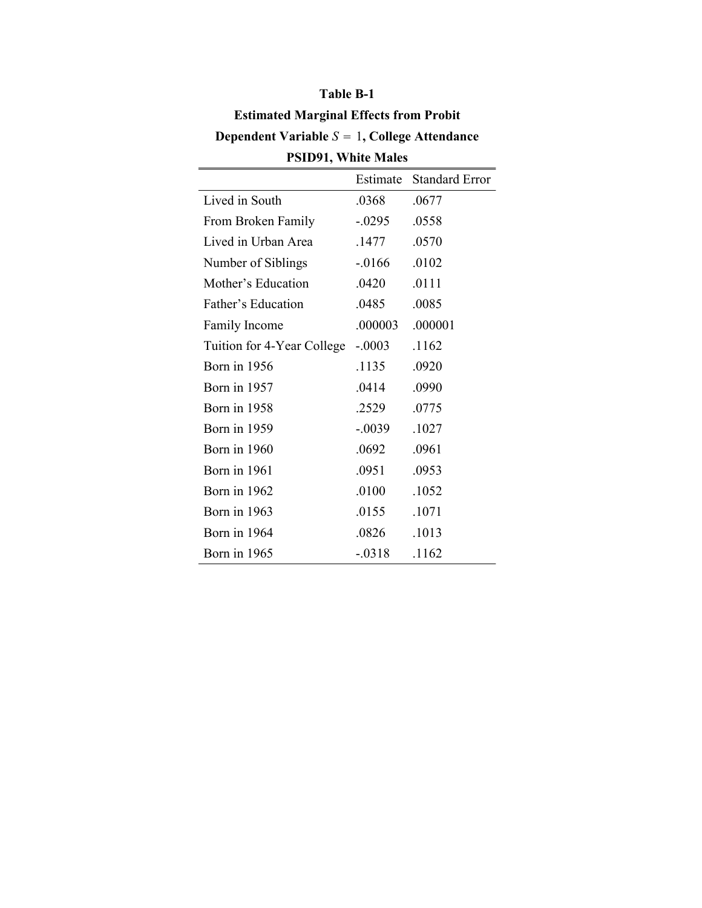| <b>PSID91, White Males</b> |           |                       |
|----------------------------|-----------|-----------------------|
|                            | Estimate  | <b>Standard Error</b> |
| Lived in South             | .0368     | .0677                 |
| From Broken Family         | $-.0295$  | .0558                 |
| Lived in Urban Area        | .1477     | .0570                 |
| Number of Siblings         | $-0.0166$ | .0102                 |
| Mother's Education         | .0420     | .0111                 |
| Father's Education         | .0485     | .0085                 |
| Family Income              | .000003   | .000001               |
| Tuition for 4-Year College | $-.0003$  | .1162                 |
| Born in 1956               | .1135     | .0920                 |
| Born in 1957               | .0414     | .0990                 |
| Born in 1958               | .2529     | .0775                 |
| Born in 1959               | $-.0039$  | .1027                 |
| Born in 1960               | .0692     | .0961                 |
| Born in 1961               | .0951     | .0953                 |
| Born in 1962               | .0100     | .1052                 |
| Born in 1963               | .0155     | .1071                 |
| Born in 1964               | .0826     | .1013                 |
| Born in 1965               | $-0.0318$ | .1162                 |

#### **Table B-1**

**Estimated Marginal Effects from Probit**

**Dependent Variable**  $S = 1$ , College Attendance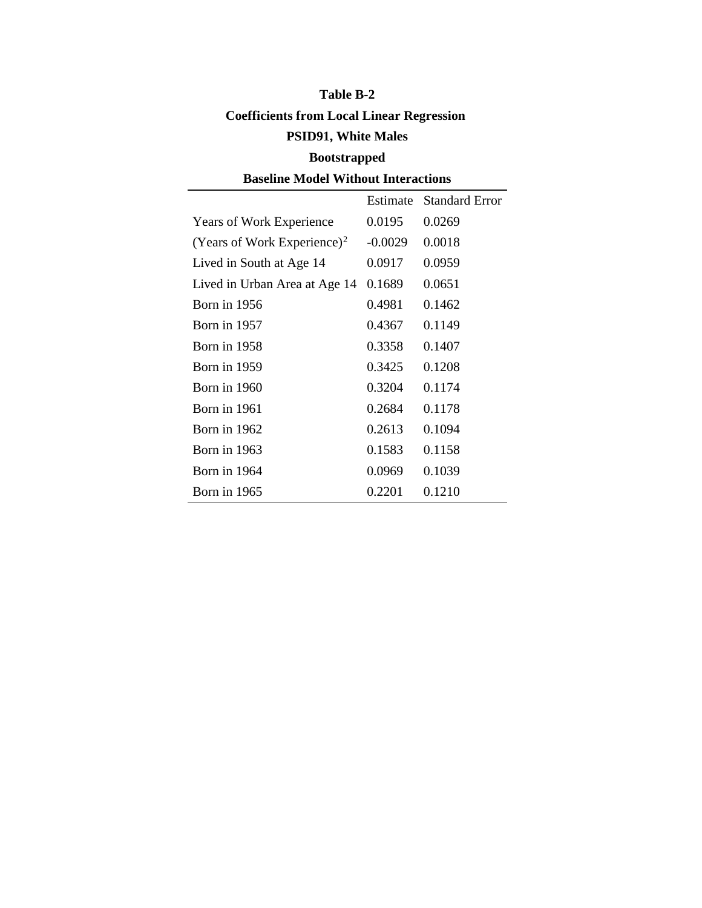| <b>Bootstrapped</b>                        |           |                       |
|--------------------------------------------|-----------|-----------------------|
| <b>Baseline Model Without Interactions</b> |           |                       |
|                                            | Estimate  | <b>Standard Error</b> |
| <b>Years of Work Experience</b>            | 0.0195    | 0.0269                |
| (Years of Work Experience) <sup>2</sup>    | $-0.0029$ | 0.0018                |
| Lived in South at Age 14                   | 0.0917    | 0.0959                |
| Lived in Urban Area at Age 14              | 0.1689    | 0.0651                |
| Born in 1956                               | 0.4981    | 0.1462                |
| Born in 1957                               | 0.4367    | 0.1149                |
| Born in 1958                               | 0.3358    | 0.1407                |
| Born in 1959                               | 0.3425    | 0.1208                |
| Born in 1960                               | 0.3204    | 0.1174                |
| Born in 1961                               | 0.2684    | 0.1178                |
| Born in 1962                               | 0.2613    | 0.1094                |
| Born in 1963                               | 0.1583    | 0.1158                |
| Born in 1964                               | 0.0969    | 0.1039                |
| Born in 1965                               | 0.2201    | 0.1210                |

# **Table B-2 Coefficients from Local Linear Regression PSID91, White Males**

# **Bootstrapped**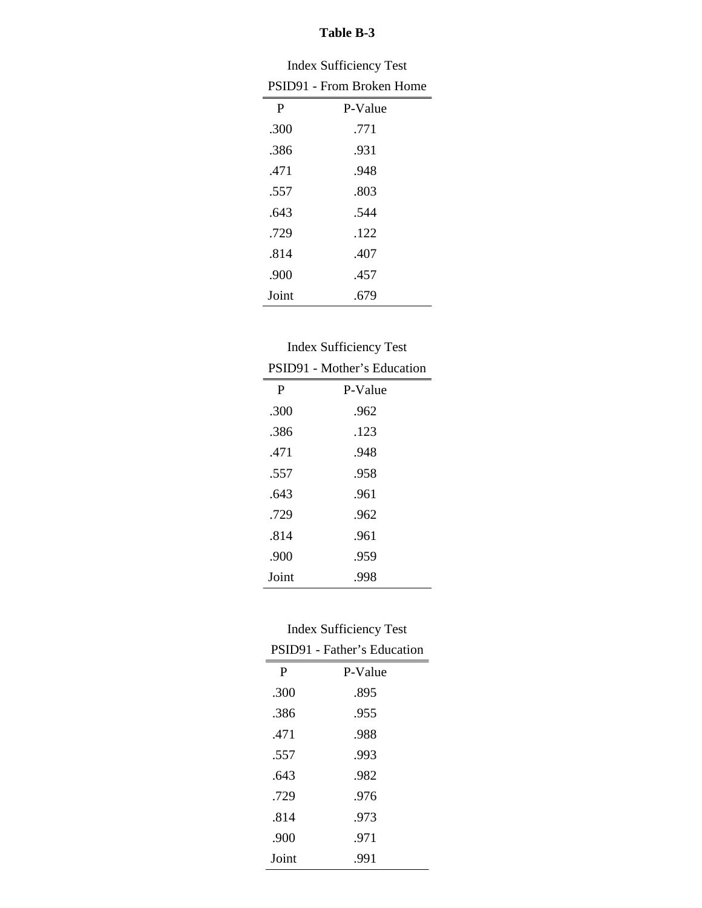### **Table B-3**

| <b>Index Sufficiency Test</b> |         |
|-------------------------------|---------|
| PSID91 - From Broken Home     |         |
| P                             | P-Value |
| .300                          | .771    |
| .386                          | .931    |
| .471                          | .948    |
| .557                          | .803    |
| .643                          | .544    |
| .729                          | .122    |
| .814                          | .407    |
| .900                          | .457    |
| Joint                         | .679    |

### Index Sufficiency Test

| <b>PSID91</b> - Mother's Education |         |
|------------------------------------|---------|
| P                                  | P-Value |
| .300                               | .962    |
| .386                               | .123    |
| .471                               | .948    |
| .557                               | .958    |
| .643                               | .961    |
| .729                               | .962    |
| .814                               | .961    |
| .900                               | .959    |
| Joint                              | .998    |

### Index Sufficiency Test

| <b>PSID91</b> - Father's Education |         |  |
|------------------------------------|---------|--|
| P                                  | P-Value |  |
| .300                               | .895    |  |
| .386                               | .955    |  |
| .471                               | .988    |  |
| .557                               | .993    |  |
| .643                               | .982    |  |
| .729                               | .976    |  |
| .814                               | .973    |  |
| .900                               | .971    |  |
| Joint                              | .991    |  |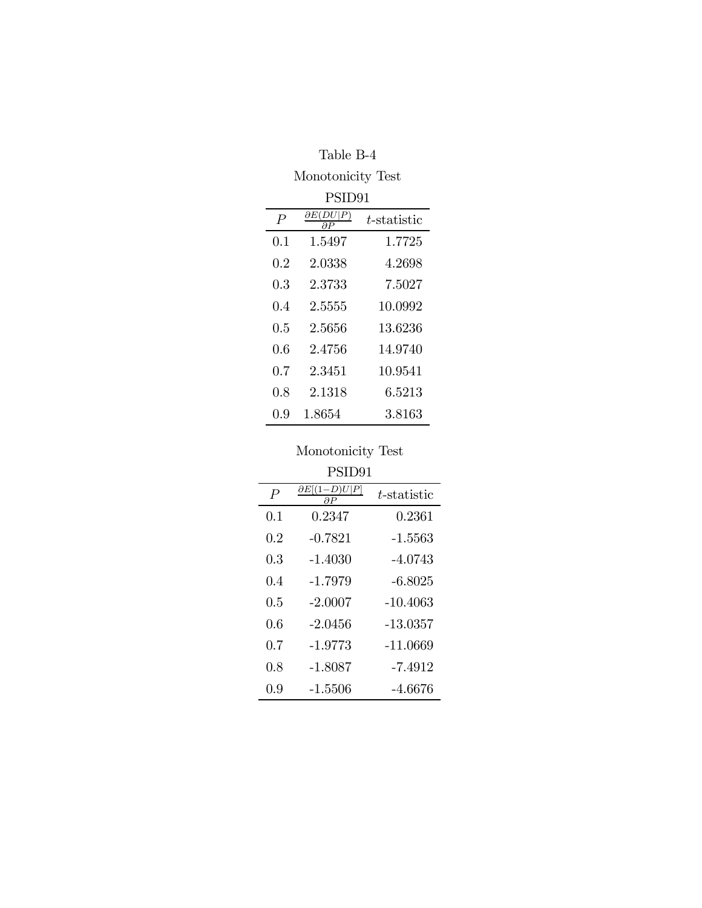# Table B-4

# Monotonicity Test

| $\boldsymbol{P}$ | дE (.<br>aр | t-statistic |
|------------------|-------------|-------------|
| 0.1              | 1.5497      | 1.7725      |
| 0.2              | 2.0338      | 4.2698      |
| 0.3              | 2.3733      | 7.5027      |
| 04               | 2.5555      | 10.0992     |
| 0.5              | 2.5656      | 13.6236     |
| 0.6              | 2 4756      | 14 9740     |
| 0.7              | 2.3451      | 10.9541     |
| 0.8              | 2.1318      | 6.5213      |
| 0.9              | 1.8654      | 3.8163      |

# Monotonicity Test

| PSID91         |                              |             |  |
|----------------|------------------------------|-------------|--|
| $\overline{P}$ | $\partial E[(1-D)U P]$<br>aр | t-statistic |  |
| 0.1            | 0.2347                       | 0.2361      |  |
| 0.2            | $-0.7821$                    | $-1.5563$   |  |
| 0.3            | $-1.4030$                    | -4.0743     |  |
| 0.4            | $-1.7979$                    | $-6.8025$   |  |
| 0.5            | $-2.0007$                    | $-10.4063$  |  |
| 0.6            | $-2.0456$                    | $-13.0357$  |  |
| 0.7            | -1.9773                      | -11.0669    |  |
| 0.8            | $-1.8087$                    | $-7.4912$   |  |
| 0.9            | $-1.5506$                    | -4.6676     |  |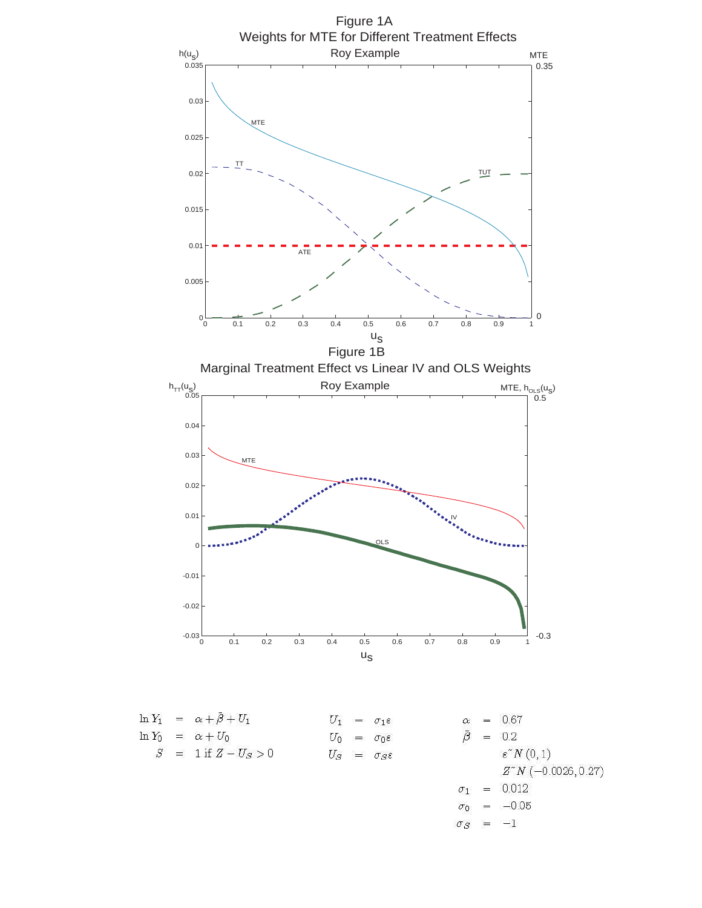

$$
\ln Y_1 = \alpha + \beta + U_1
$$
  
\n
$$
\ln Y_0 = \alpha + U_0
$$
  
\n
$$
S = 1 \text{ if } Z - U_S > 0
$$
  
\n
$$
U_1 = \sigma_1 \varepsilon
$$
  
\n
$$
U_0 = \sigma_0 \varepsilon
$$
  
\n
$$
U_0 = \sigma_0 \varepsilon
$$
  
\n
$$
U_S = \sigma_S \varepsilon
$$
  
\n
$$
U_S = \sigma_S \varepsilon
$$
  
\n
$$
U_S = \sigma_S \varepsilon
$$
  
\n
$$
U_S = \sigma_S \varepsilon
$$
  
\n
$$
U_S = \sigma_S \varepsilon
$$
  
\n
$$
U_S = \sigma_S \varepsilon
$$
  
\n
$$
U_S = \sigma_S \varepsilon
$$
  
\n
$$
U_S = \sigma_S \varepsilon
$$
  
\n
$$
U_S = \sigma_S \varepsilon
$$
  
\n
$$
U_S = \sigma_S \varepsilon
$$
  
\n
$$
U_S = \sigma_S \varepsilon
$$
  
\n
$$
U_S = \sigma_S \varepsilon
$$
  
\n
$$
U_S = \sigma_S \varepsilon
$$
  
\n
$$
U_S = \sigma_S \varepsilon
$$
  
\n
$$
U_S = \sigma_S \varepsilon
$$
  
\n
$$
U_S = \sigma_S \varepsilon
$$
  
\n
$$
U_S = \sigma_S \varepsilon
$$
  
\n
$$
U_S = 0.012
$$

 $-0.05$ 

 $-1$ 

 $\sigma_0$ 

 $\sigma_S$  $=$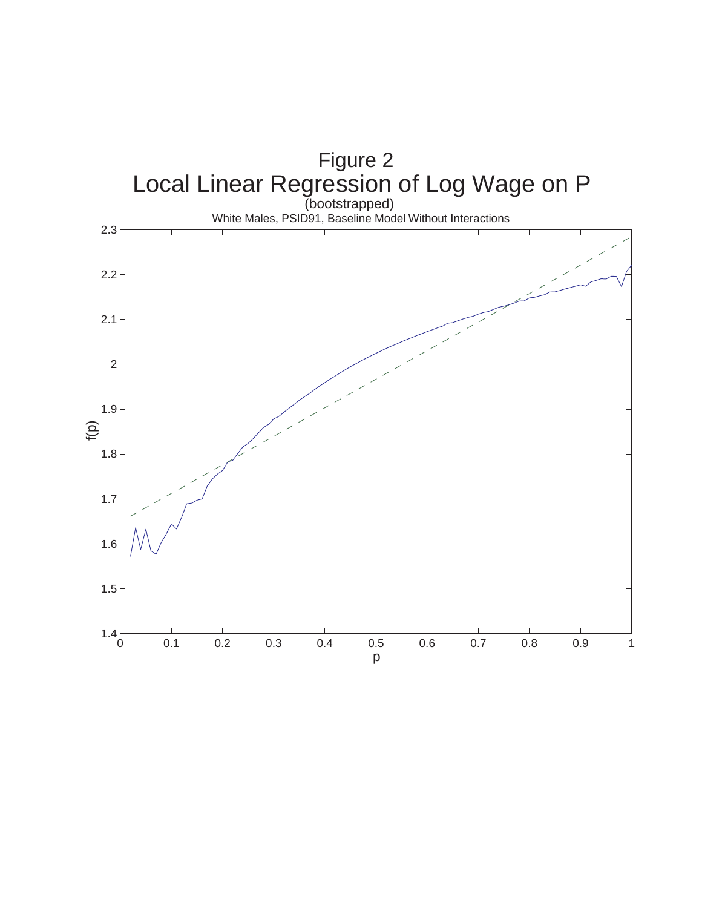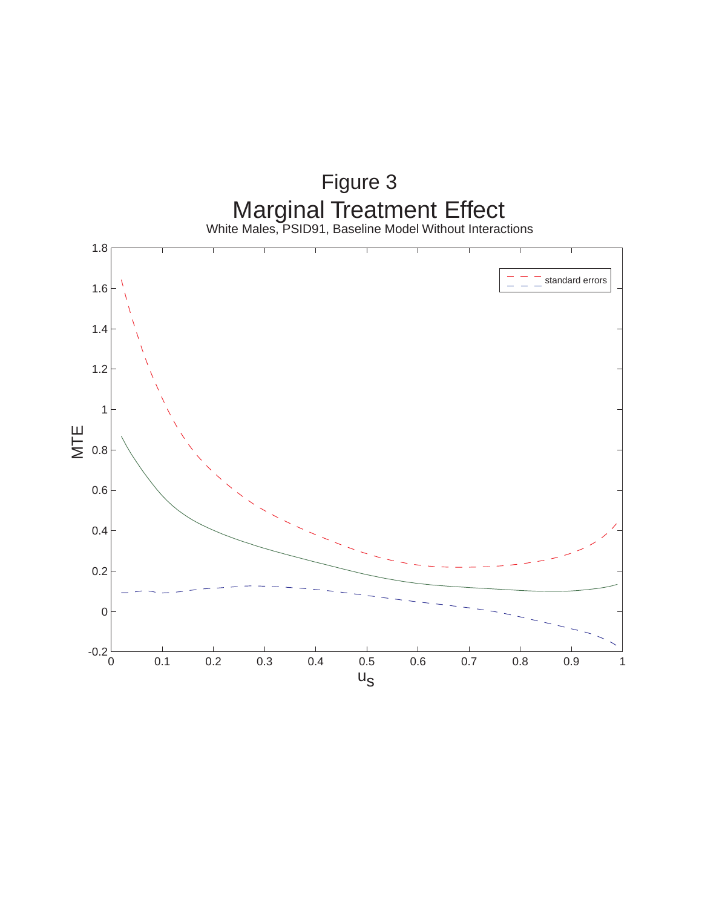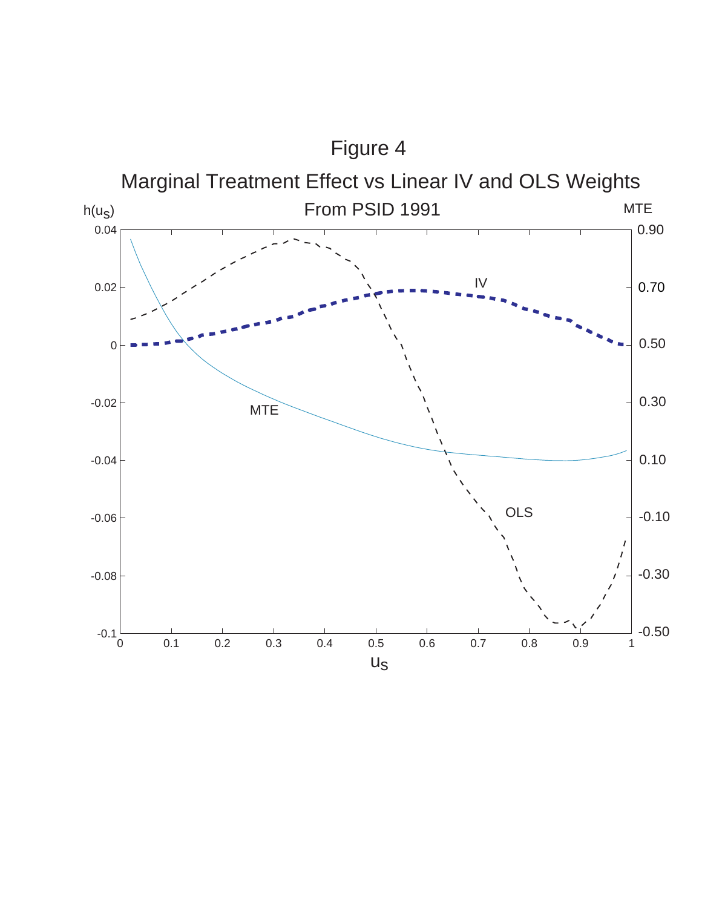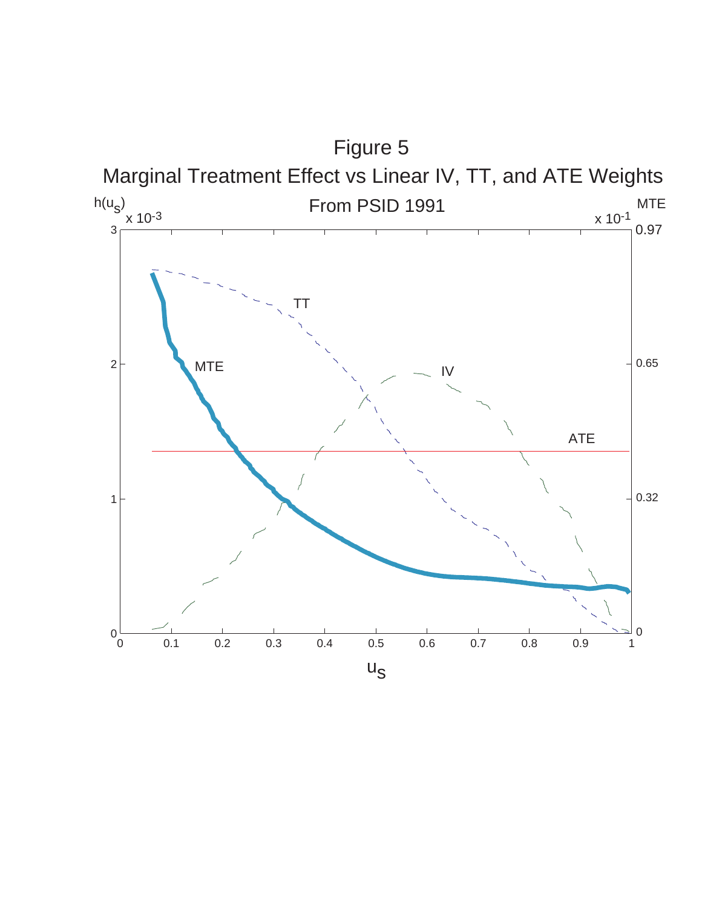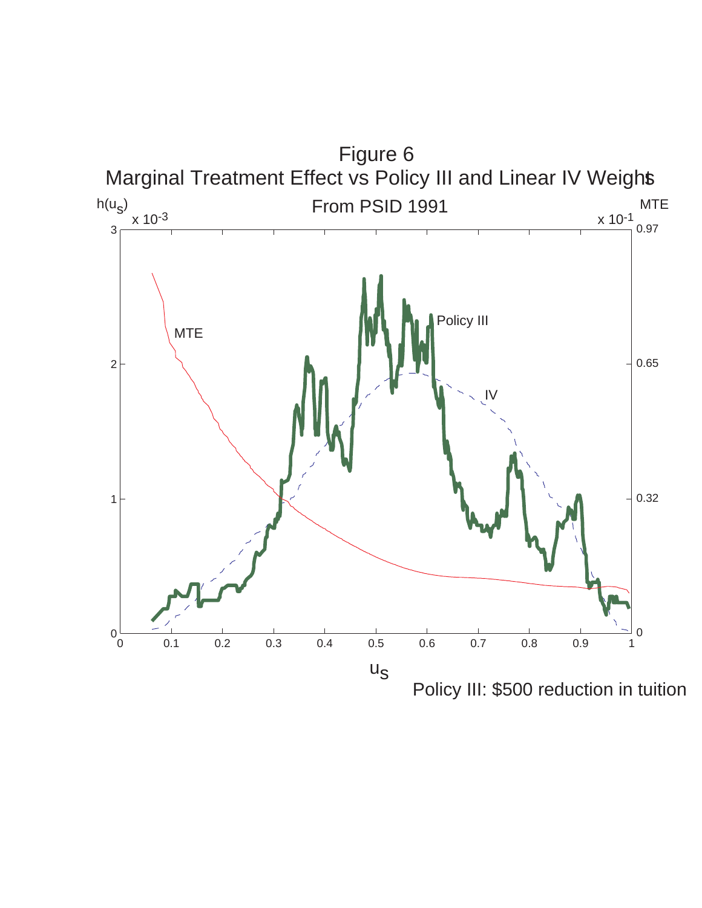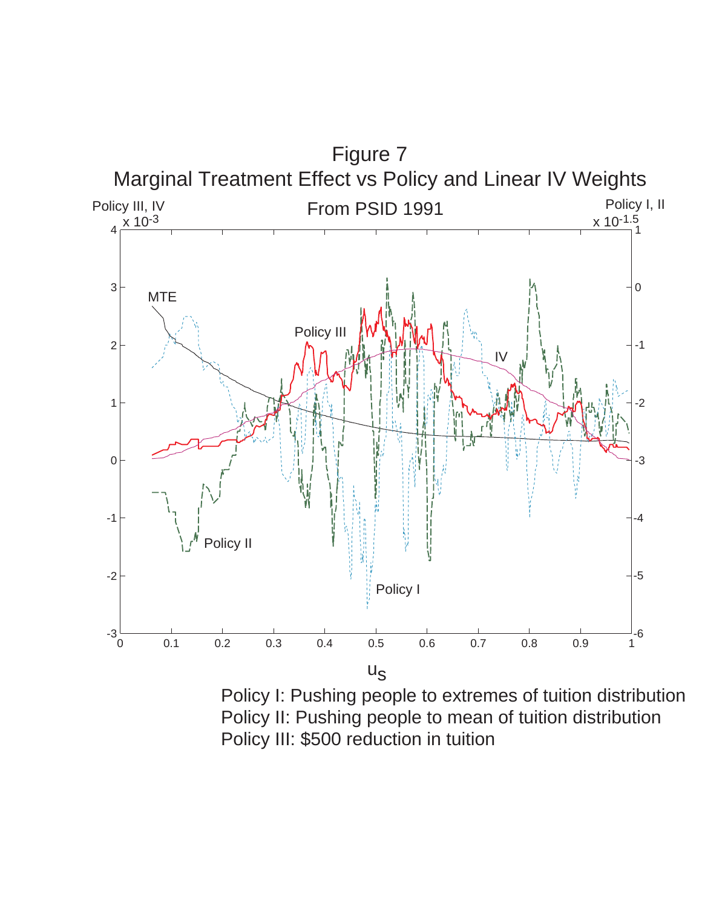

Policy I: Pushing people to extremes of tuition distribution Policy II: Pushing people to mean of tuition distribution Policy III: \$500 reduction in tuition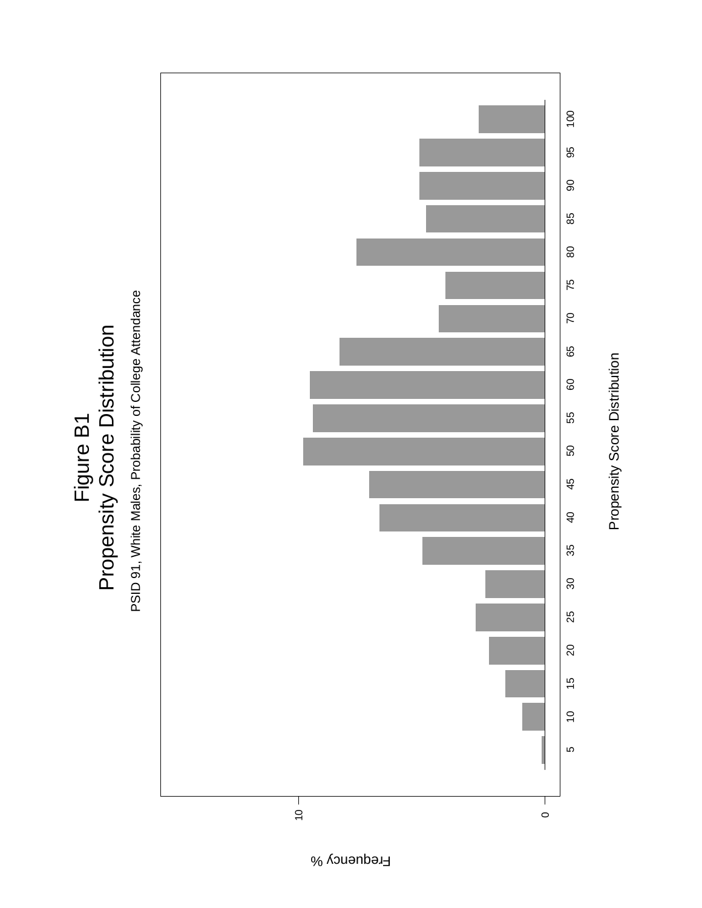Figure B1<br>Propensity Score Distribution Propensity Score Distribution

PSID 91, White Males, Probability of College Attendance PSID 91, White Males, Probability of College Attendance



Propensity Score Distribution Propensity Score Distribution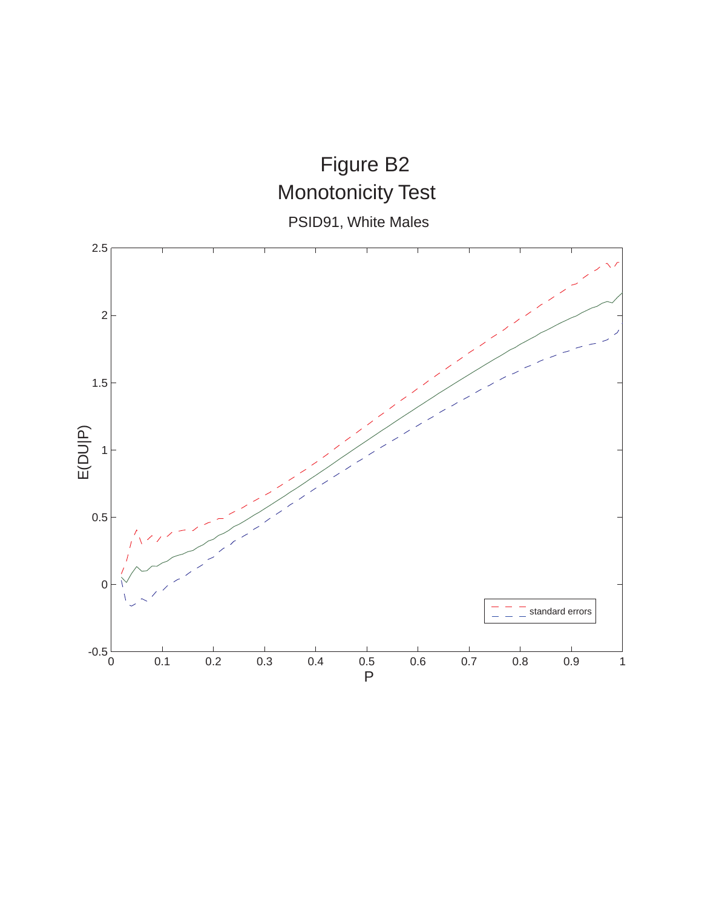# Monotonicity Test Figure B2

PSID91, White Males